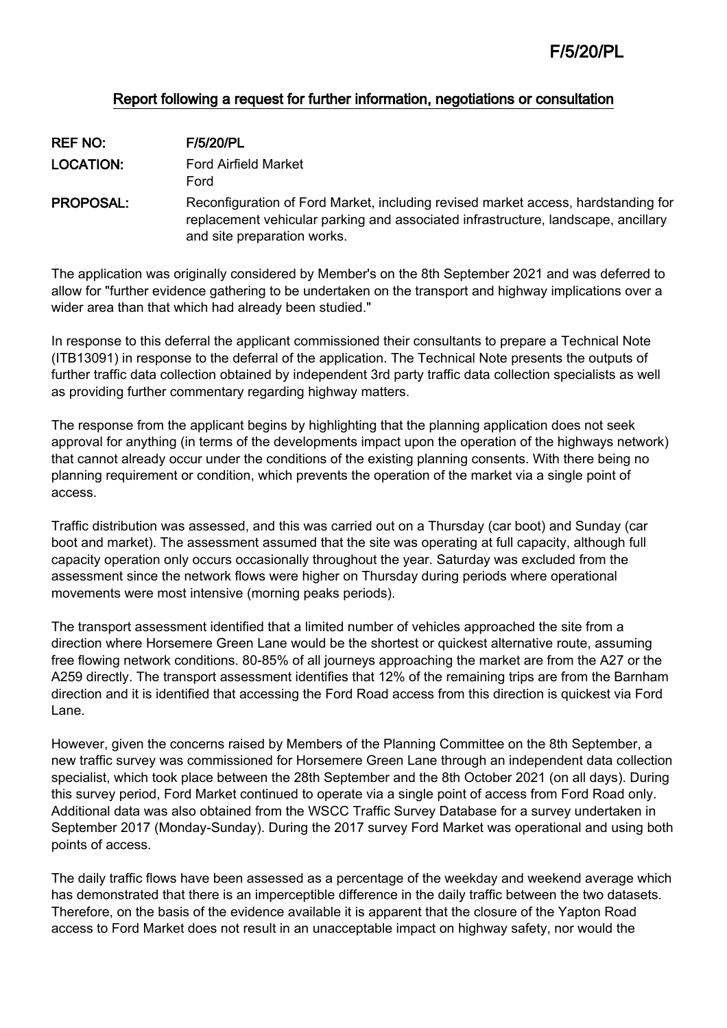# Report following a request for further information, negotiations or consultation

| <b>REF NO:</b>   | <b>F/5/20/PL</b>                                                                                                                                                                                      |
|------------------|-------------------------------------------------------------------------------------------------------------------------------------------------------------------------------------------------------|
| <b>LOCATION:</b> | <b>Ford Airfield Market</b><br>Ford                                                                                                                                                                   |
| <b>PROPOSAL:</b> | Reconfiguration of Ford Market, including revised market access, hardstanding for<br>replacement vehicular parking and associated infrastructure, landscape, ancillary<br>and site preparation works. |

The application was originally considered by Member's on the 8th September 2021 and was deferred to allow for "further evidence gathering to be undertaken on the transport and highway implications over a wider area than that which had already been studied."

In response to this deferral the applicant commissioned their consultants to prepare a Technical Note (ITB13091) in response to the deferral of the application. The Technical Note presents the outputs of further traffic data collection obtained by independent 3rd party traffic data collection specialists as well as providing further commentary regarding highway matters.

The response from the applicant begins by highlighting that the planning application does not seek approval for anything (in terms of the developments impact upon the operation of the highways network) that cannot already occur under the conditions of the existing planning consents. With there being no planning requirement or condition, which prevents the operation of the market via a single point of access.

Traffic distribution was assessed, and this was carried out on a Thursday (car boot) and Sunday (car boot and market). The assessment assumed that the site was operating at full capacity, although full capacity operation only occurs occasionally throughout the year. Saturday was excluded from the assessment since the network flows were higher on Thursday during periods where operational movements were most intensive (morning peaks periods).

The transport assessment identified that a limited number of vehicles approached the site from a direction where Horsemere Green Lane would be the shortest or quickest alternative route, assuming free flowing network conditions. 80-85% of all journeys approaching the market are from the A27 or the A259 directly. The transport assessment identifies that 12% of the remaining trips are from the Barnham direction and it is identified that accessing the Ford Road access from this direction is quickest via Ford Lane.

However, given the concerns raised by Members of the Planning Committee on the 8th September, a new traffic survey was commissioned for Horsemere Green Lane through an independent data collection specialist, which took place between the 28th September and the 8th October 2021 (on all days). During this survey period, Ford Market continued to operate via a single point of access from Ford Road only. Additional data was also obtained from the WSCC Traffic Survey Database for a survey undertaken in September 2017 (Monday-Sunday). During the 2017 survey Ford Market was operational and using both points of access.

The daily traffic flows have been assessed as a percentage of the weekday and weekend average which has demonstrated that there is an imperceptible difference in the daily traffic between the two datasets. Therefore, on the basis of the evidence available it is apparent that the closure of the Yapton Road access to Ford Market does not result in an unacceptable impact on highway safety, nor would the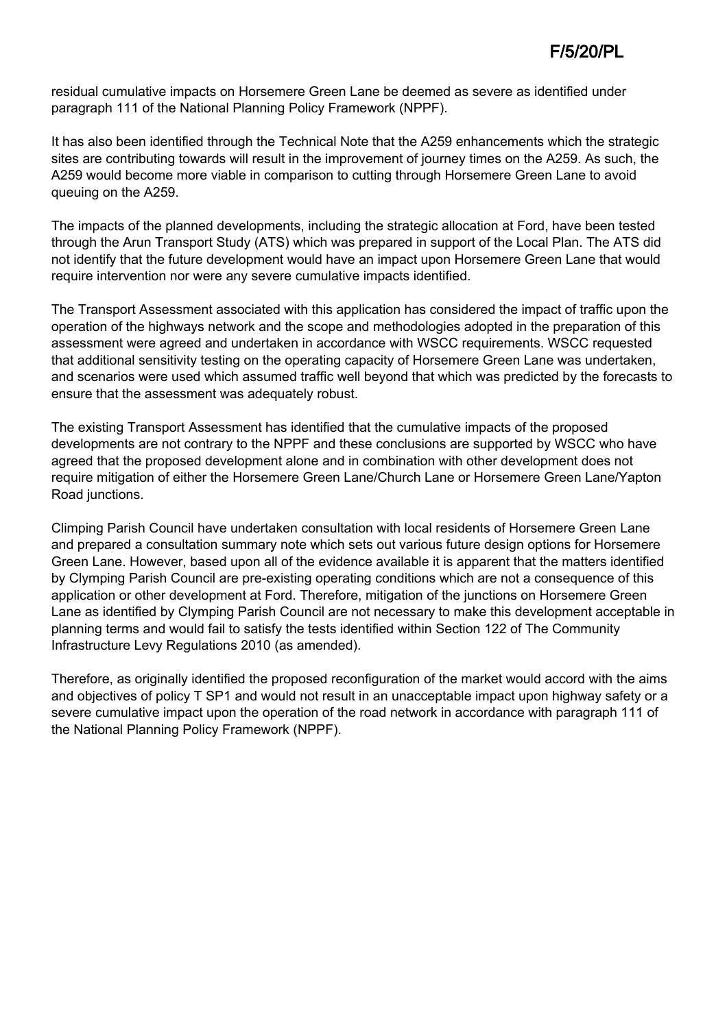residual cumulative impacts on Horsemere Green Lane be deemed as severe as identified under paragraph 111 of the National Planning Policy Framework (NPPF).

It has also been identified through the Technical Note that the A259 enhancements which the strategic sites are contributing towards will result in the improvement of journey times on the A259. As such, the A259 would become more viable in comparison to cutting through Horsemere Green Lane to avoid queuing on the A259.

The impacts of the planned developments, including the strategic allocation at Ford, have been tested through the Arun Transport Study (ATS) which was prepared in support of the Local Plan. The ATS did not identify that the future development would have an impact upon Horsemere Green Lane that would require intervention nor were any severe cumulative impacts identified.

The Transport Assessment associated with this application has considered the impact of traffic upon the operation of the highways network and the scope and methodologies adopted in the preparation of this assessment were agreed and undertaken in accordance with WSCC requirements. WSCC requested that additional sensitivity testing on the operating capacity of Horsemere Green Lane was undertaken, and scenarios were used which assumed traffic well beyond that which was predicted by the forecasts to ensure that the assessment was adequately robust.

The existing Transport Assessment has identified that the cumulative impacts of the proposed developments are not contrary to the NPPF and these conclusions are supported by WSCC who have agreed that the proposed development alone and in combination with other development does not require mitigation of either the Horsemere Green Lane/Church Lane or Horsemere Green Lane/Yapton Road junctions.

Climping Parish Council have undertaken consultation with local residents of Horsemere Green Lane and prepared a consultation summary note which sets out various future design options for Horsemere Green Lane. However, based upon all of the evidence available it is apparent that the matters identified by Clymping Parish Council are pre-existing operating conditions which are not a consequence of this application or other development at Ford. Therefore, mitigation of the junctions on Horsemere Green Lane as identified by Clymping Parish Council are not necessary to make this development acceptable in planning terms and would fail to satisfy the tests identified within Section 122 of The Community Infrastructure Levy Regulations 2010 (as amended).

Therefore, as originally identified the proposed reconfiguration of the market would accord with the aims and objectives of policy T SP1 and would not result in an unacceptable impact upon highway safety or a severe cumulative impact upon the operation of the road network in accordance with paragraph 111 of the National Planning Policy Framework (NPPF).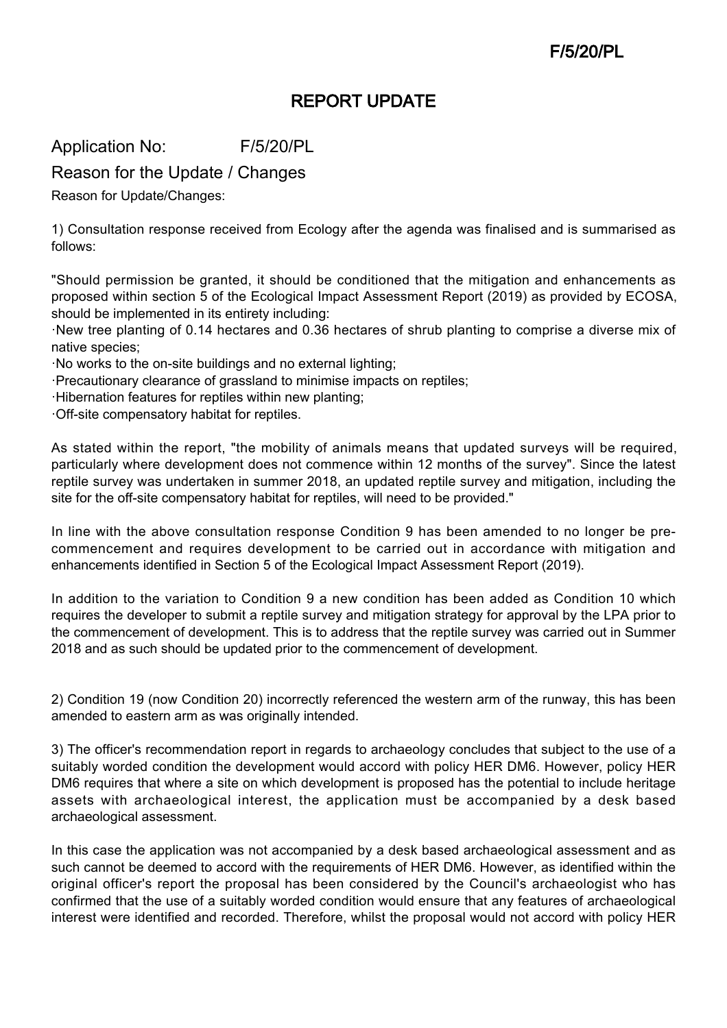# REPORT UPDATE

Application No: F/5/20/PL

Reason for the Update / Changes

Reason for Update/Changes:

1) Consultation response received from Ecology after the agenda was finalised and is summarised as follows:

"Should permission be granted, it should be conditioned that the mitigation and enhancements as proposed within section 5 of the Ecological Impact Assessment Report (2019) as provided by ECOSA, should be implemented in its entirety including:

·New tree planting of 0.14 hectares and 0.36 hectares of shrub planting to comprise a diverse mix of native species;

·No works to the on-site buildings and no external lighting;

·Precautionary clearance of grassland to minimise impacts on reptiles;

·Hibernation features for reptiles within new planting;

·Off-site compensatory habitat for reptiles.

As stated within the report, "the mobility of animals means that updated surveys will be required, particularly where development does not commence within 12 months of the survey". Since the latest reptile survey was undertaken in summer 2018, an updated reptile survey and mitigation, including the site for the off-site compensatory habitat for reptiles, will need to be provided."

In line with the above consultation response Condition 9 has been amended to no longer be precommencement and requires development to be carried out in accordance with mitigation and enhancements identified in Section 5 of the Ecological Impact Assessment Report (2019).

In addition to the variation to Condition 9 a new condition has been added as Condition 10 which requires the developer to submit a reptile survey and mitigation strategy for approval by the LPA prior to the commencement of development. This is to address that the reptile survey was carried out in Summer 2018 and as such should be updated prior to the commencement of development.

2) Condition 19 (now Condition 20) incorrectly referenced the western arm of the runway, this has been amended to eastern arm as was originally intended.

3) The officer's recommendation report in regards to archaeology concludes that subject to the use of a suitably worded condition the development would accord with policy HER DM6. However, policy HER DM6 requires that where a site on which development is proposed has the potential to include heritage assets with archaeological interest, the application must be accompanied by a desk based archaeological assessment.

In this case the application was not accompanied by a desk based archaeological assessment and as such cannot be deemed to accord with the requirements of HER DM6. However, as identified within the original officer's report the proposal has been considered by the Council's archaeologist who has confirmed that the use of a suitably worded condition would ensure that any features of archaeological interest were identified and recorded. Therefore, whilst the proposal would not accord with policy HER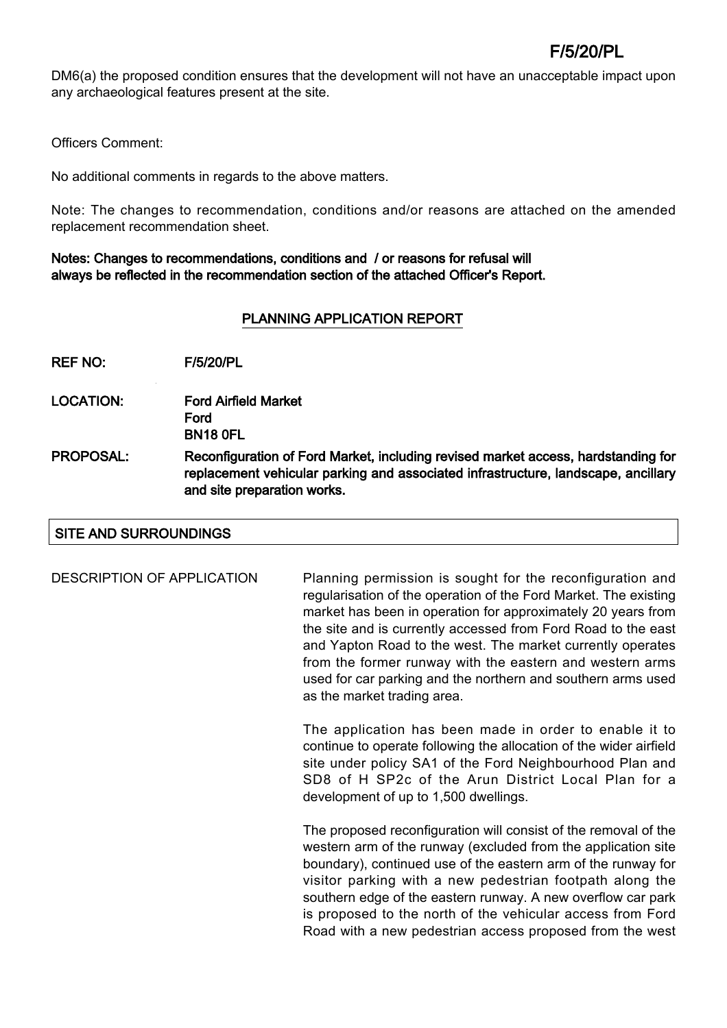DM6(a) the proposed condition ensures that the development will not have an unacceptable impact upon any archaeological features present at the site.

Officers Comment:

No additional comments in regards to the above matters.

Note: The changes to recommendation, conditions and/or reasons are attached on the amended replacement recommendation sheet.

#### Notes: Changes to recommendations, conditions and / or reasons for refusal will always be reflected in the recommendation section of the attached Officer's Report.

### PLANNING APPLICATION REPORT

REF NO: F/5/20/PL

- LOCATION: Ford Airfield Market Ford BN18 0FL
- PROPOSAL: Reconfiguration of Ford Market, including revised market access, hardstanding for replacement vehicular parking and associated infrastructure, landscape, ancillary and site preparation works.

#### SITE AND SURROUNDINGS

DESCRIPTION OF APPLICATION Planning permission is sought for the reconfiguration and regularisation of the operation of the Ford Market. The existing market has been in operation for approximately 20 years from the site and is currently accessed from Ford Road to the east and Yapton Road to the west. The market currently operates from the former runway with the eastern and western arms used for car parking and the northern and southern arms used as the market trading area.

> The application has been made in order to enable it to continue to operate following the allocation of the wider airfield site under policy SA1 of the Ford Neighbourhood Plan and SD8 of H SP2c of the Arun District Local Plan for a development of up to 1,500 dwellings.

> The proposed reconfiguration will consist of the removal of the western arm of the runway (excluded from the application site boundary), continued use of the eastern arm of the runway for visitor parking with a new pedestrian footpath along the southern edge of the eastern runway. A new overflow car park is proposed to the north of the vehicular access from Ford Road with a new pedestrian access proposed from the west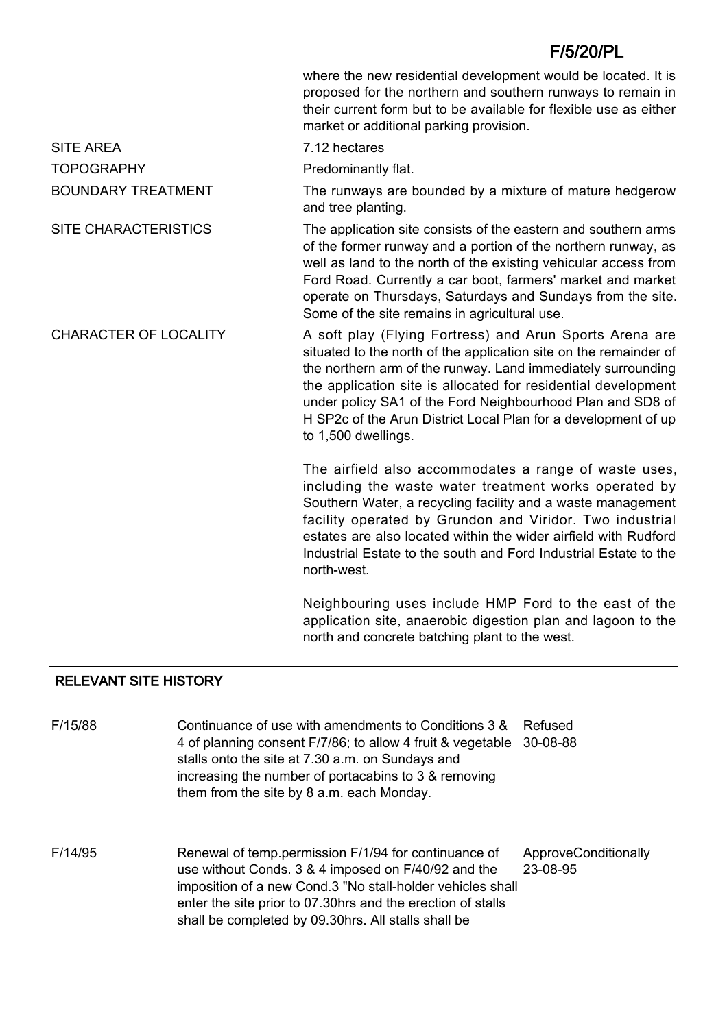|                              | where the new residential development would be located. It is<br>proposed for the northern and southern runways to remain in<br>their current form but to be available for flexible use as either<br>market or additional parking provision.                                                                                                                                                                         |
|------------------------------|----------------------------------------------------------------------------------------------------------------------------------------------------------------------------------------------------------------------------------------------------------------------------------------------------------------------------------------------------------------------------------------------------------------------|
| <b>SITE AREA</b>             | 7.12 hectares                                                                                                                                                                                                                                                                                                                                                                                                        |
| <b>TOPOGRAPHY</b>            | Predominantly flat.                                                                                                                                                                                                                                                                                                                                                                                                  |
| <b>BOUNDARY TREATMENT</b>    | The runways are bounded by a mixture of mature hedgerow<br>and tree planting.                                                                                                                                                                                                                                                                                                                                        |
| <b>SITE CHARACTERISTICS</b>  | The application site consists of the eastern and southern arms<br>of the former runway and a portion of the northern runway, as<br>well as land to the north of the existing vehicular access from<br>Ford Road. Currently a car boot, farmers' market and market<br>operate on Thursdays, Saturdays and Sundays from the site.<br>Some of the site remains in agricultural use.                                     |
| <b>CHARACTER OF LOCALITY</b> | A soft play (Flying Fortress) and Arun Sports Arena are<br>situated to the north of the application site on the remainder of<br>the northern arm of the runway. Land immediately surrounding<br>the application site is allocated for residential development<br>under policy SA1 of the Ford Neighbourhood Plan and SD8 of<br>H SP2c of the Arun District Local Plan for a development of up<br>to 1,500 dwellings. |
|                              | The airfield also accommodates a range of waste uses,<br>including the waste water treatment works operated by<br>Southern Water, a recycling facility and a waste management<br>facility operated by Grundon and Viridor. Two industrial<br>estates are also located within the wider airfield with Rudford<br>Industrial Estate to the south and Ford Industrial Estate to the<br>north-west.                      |
|                              | Neighbouring uses include HMP Ford to the east of the                                                                                                                                                                                                                                                                                                                                                                |

application site, anaerobic digestion plan and lagoon to the north and concrete batching plant to the west.

# RELEVANT SITE HISTORY

| F/15/88 | Continuance of use with amendments to Conditions 3 &<br>4 of planning consent F/7/86; to allow 4 fruit & vegetable<br>stalls onto the site at 7.30 a.m. on Sundays and<br>increasing the number of portacabins to 3 & removing<br>them from the site by 8 a.m. each Monday.                     | Refused<br>30-08-88              |
|---------|-------------------------------------------------------------------------------------------------------------------------------------------------------------------------------------------------------------------------------------------------------------------------------------------------|----------------------------------|
| F/14/95 | Renewal of temp.permission F/1/94 for continuance of<br>use without Conds. 3 & 4 imposed on F/40/92 and the<br>imposition of a new Cond.3 "No stall-holder vehicles shall<br>enter the site prior to 07.30hrs and the erection of stalls<br>shall be completed by 09.30hrs. All stalls shall be | ApproveConditionally<br>23-08-95 |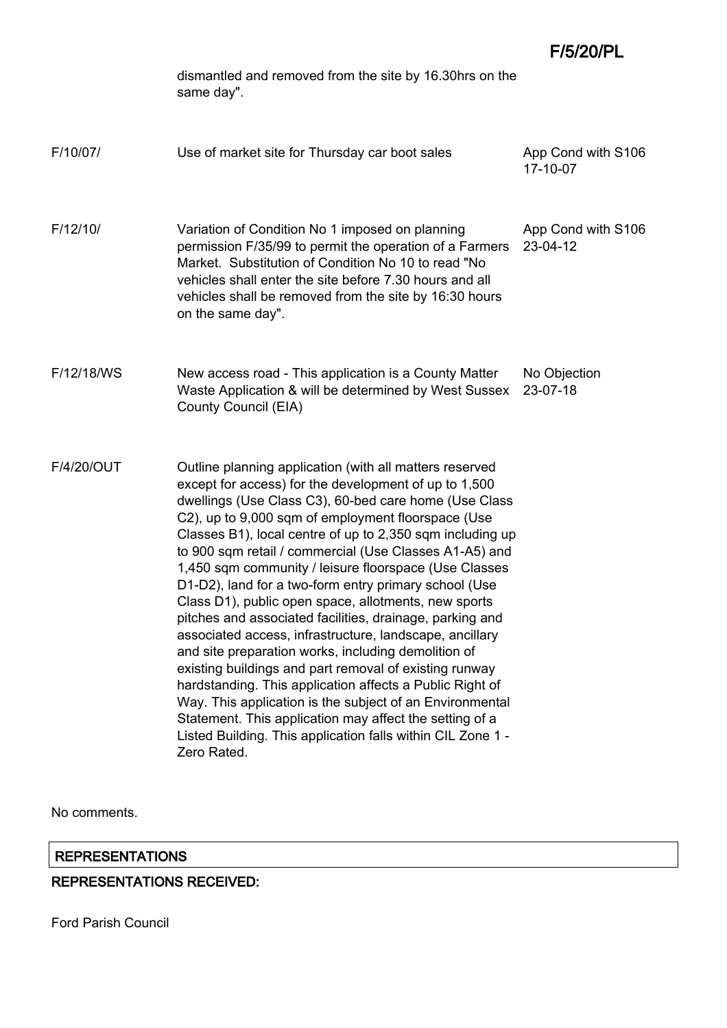F/5/20/PL

|            | dismantled and removed from the site by 16.30hrs on the<br>same day".                                                                                                                                                                                                                                                                                                                                                                                                                                                                                                                                                                                                                                                                                                                                                                                                                                                                                                                                                                     |                                |
|------------|-------------------------------------------------------------------------------------------------------------------------------------------------------------------------------------------------------------------------------------------------------------------------------------------------------------------------------------------------------------------------------------------------------------------------------------------------------------------------------------------------------------------------------------------------------------------------------------------------------------------------------------------------------------------------------------------------------------------------------------------------------------------------------------------------------------------------------------------------------------------------------------------------------------------------------------------------------------------------------------------------------------------------------------------|--------------------------------|
| F/10/07/   | Use of market site for Thursday car boot sales                                                                                                                                                                                                                                                                                                                                                                                                                                                                                                                                                                                                                                                                                                                                                                                                                                                                                                                                                                                            | App Cond with S106<br>17-10-07 |
| F/12/10/   | Variation of Condition No 1 imposed on planning<br>permission F/35/99 to permit the operation of a Farmers<br>Market. Substitution of Condition No 10 to read "No<br>vehicles shall enter the site before 7.30 hours and all<br>vehicles shall be removed from the site by 16:30 hours<br>on the same day".                                                                                                                                                                                                                                                                                                                                                                                                                                                                                                                                                                                                                                                                                                                               | App Cond with S106<br>23-04-12 |
| F/12/18/WS | New access road - This application is a County Matter<br>Waste Application & will be determined by West Sussex<br>County Council (EIA)                                                                                                                                                                                                                                                                                                                                                                                                                                                                                                                                                                                                                                                                                                                                                                                                                                                                                                    | No Objection<br>23-07-18       |
| F/4/20/OUT | Outline planning application (with all matters reserved<br>except for access) for the development of up to 1,500<br>dwellings (Use Class C3), 60-bed care home (Use Class<br>C2), up to 9,000 sqm of employment floorspace (Use<br>Classes B1), local centre of up to 2,350 sqm including up<br>to 900 sqm retail / commercial (Use Classes A1-A5) and<br>1,450 sqm community / leisure floorspace (Use Classes<br>D1-D2), land for a two-form entry primary school (Use<br>Class D1), public open space, allotments, new sports<br>pitches and associated facilities, drainage, parking and<br>associated access, infrastructure, landscape, ancillary<br>and site preparation works, including demolition of<br>existing buildings and part removal of existing runway<br>hardstanding. This application affects a Public Right of<br>Way. This application is the subject of an Environmental<br>Statement. This application may affect the setting of a<br>Listed Building. This application falls within CIL Zone 1 -<br>Zero Rated. |                                |

No comments.

# REPRESENTATIONS

# REPRESENTATIONS RECEIVED: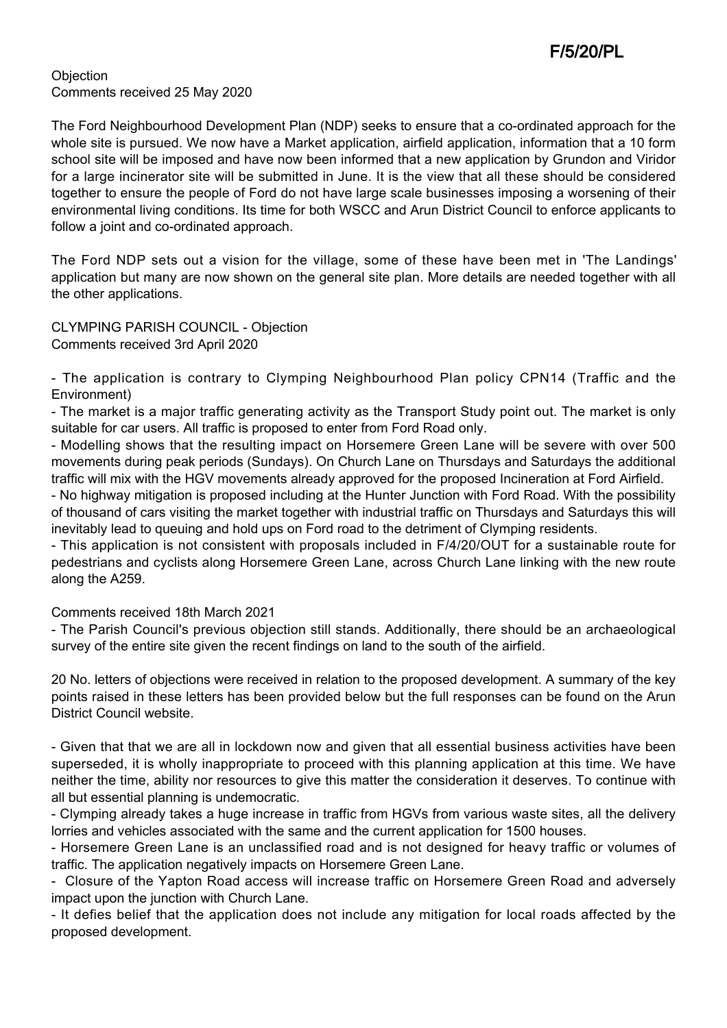**Objection** Comments received 25 May 2020

The Ford Neighbourhood Development Plan (NDP) seeks to ensure that a co-ordinated approach for the whole site is pursued. We now have a Market application, airfield application, information that a 10 form school site will be imposed and have now been informed that a new application by Grundon and Viridor for a large incinerator site will be submitted in June. It is the view that all these should be considered together to ensure the people of Ford do not have large scale businesses imposing a worsening of their environmental living conditions. Its time for both WSCC and Arun District Council to enforce applicants to follow a joint and co-ordinated approach.

The Ford NDP sets out a vision for the village, some of these have been met in 'The Landings' application but many are now shown on the general site plan. More details are needed together with all the other applications.

CLYMPING PARISH COUNCIL - Objection Comments received 3rd April 2020

- The application is contrary to Clymping Neighbourhood Plan policy CPN14 (Traffic and the Environment)

- The market is a major traffic generating activity as the Transport Study point out. The market is only suitable for car users. All traffic is proposed to enter from Ford Road only.

- Modelling shows that the resulting impact on Horsemere Green Lane will be severe with over 500 movements during peak periods (Sundays). On Church Lane on Thursdays and Saturdays the additional traffic will mix with the HGV movements already approved for the proposed Incineration at Ford Airfield.

- No highway mitigation is proposed including at the Hunter Junction with Ford Road. With the possibility of thousand of cars visiting the market together with industrial traffic on Thursdays and Saturdays this will inevitably lead to queuing and hold ups on Ford road to the detriment of Clymping residents.

- This application is not consistent with proposals included in F/4/20/OUT for a sustainable route for pedestrians and cyclists along Horsemere Green Lane, across Church Lane linking with the new route along the A259.

Comments received 18th March 2021

- The Parish Council's previous objection still stands. Additionally, there should be an archaeological survey of the entire site given the recent findings on land to the south of the airfield.

20 No. letters of objections were received in relation to the proposed development. A summary of the key points raised in these letters has been provided below but the full responses can be found on the Arun District Council website.

- Given that that we are all in lockdown now and given that all essential business activities have been superseded, it is wholly inappropriate to proceed with this planning application at this time. We have neither the time, ability nor resources to give this matter the consideration it deserves. To continue with all but essential planning is undemocratic.

- Clymping already takes a huge increase in traffic from HGVs from various waste sites, all the delivery lorries and vehicles associated with the same and the current application for 1500 houses.

- Horsemere Green Lane is an unclassified road and is not designed for heavy traffic or volumes of traffic. The application negatively impacts on Horsemere Green Lane.

- Closure of the Yapton Road access will increase traffic on Horsemere Green Road and adversely impact upon the junction with Church Lane.

- It defies belief that the application does not include any mitigation for local roads affected by the proposed development.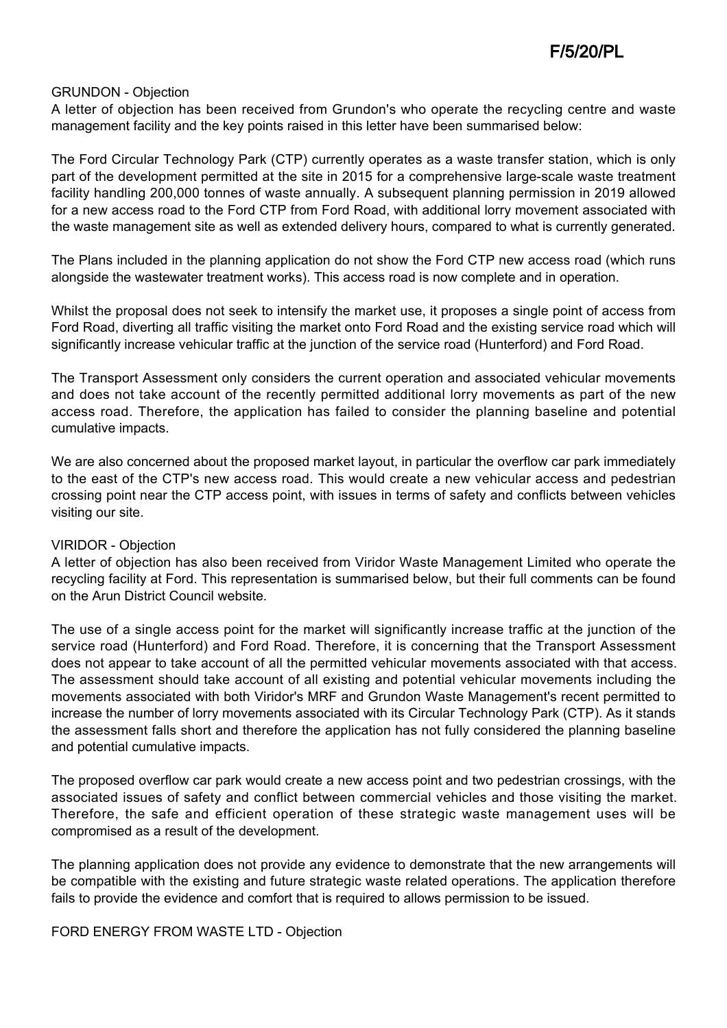#### GRUNDON - Objection

A letter of objection has been received from Grundon's who operate the recycling centre and waste management facility and the key points raised in this letter have been summarised below:

The Ford Circular Technology Park (CTP) currently operates as a waste transfer station, which is only part of the development permitted at the site in 2015 for a comprehensive large-scale waste treatment facility handling 200,000 tonnes of waste annually. A subsequent planning permission in 2019 allowed for a new access road to the Ford CTP from Ford Road, with additional lorry movement associated with the waste management site as well as extended delivery hours, compared to what is currently generated.

The Plans included in the planning application do not show the Ford CTP new access road (which runs alongside the wastewater treatment works). This access road is now complete and in operation.

Whilst the proposal does not seek to intensify the market use, it proposes a single point of access from Ford Road, diverting all traffic visiting the market onto Ford Road and the existing service road which will significantly increase vehicular traffic at the junction of the service road (Hunterford) and Ford Road.

The Transport Assessment only considers the current operation and associated vehicular movements and does not take account of the recently permitted additional lorry movements as part of the new access road. Therefore, the application has failed to consider the planning baseline and potential cumulative impacts.

We are also concerned about the proposed market layout, in particular the overflow car park immediately to the east of the CTP's new access road. This would create a new vehicular access and pedestrian crossing point near the CTP access point, with issues in terms of safety and conflicts between vehicles visiting our site.

#### VIRIDOR - Objection

A letter of objection has also been received from Viridor Waste Management Limited who operate the recycling facility at Ford. This representation is summarised below, but their full comments can be found on the Arun District Council website.

The use of a single access point for the market will significantly increase traffic at the junction of the service road (Hunterford) and Ford Road. Therefore, it is concerning that the Transport Assessment does not appear to take account of all the permitted vehicular movements associated with that access. The assessment should take account of all existing and potential vehicular movements including the movements associated with both Viridor's MRF and Grundon Waste Management's recent permitted to increase the number of lorry movements associated with its Circular Technology Park (CTP). As it stands the assessment falls short and therefore the application has not fully considered the planning baseline and potential cumulative impacts.

The proposed overflow car park would create a new access point and two pedestrian crossings, with the associated issues of safety and conflict between commercial vehicles and those visiting the market. Therefore, the safe and efficient operation of these strategic waste management uses will be compromised as a result of the development.

The planning application does not provide any evidence to demonstrate that the new arrangements will be compatible with the existing and future strategic waste related operations. The application therefore fails to provide the evidence and comfort that is required to allows permission to be issued.

FORD ENERGY FROM WASTE LTD - Objection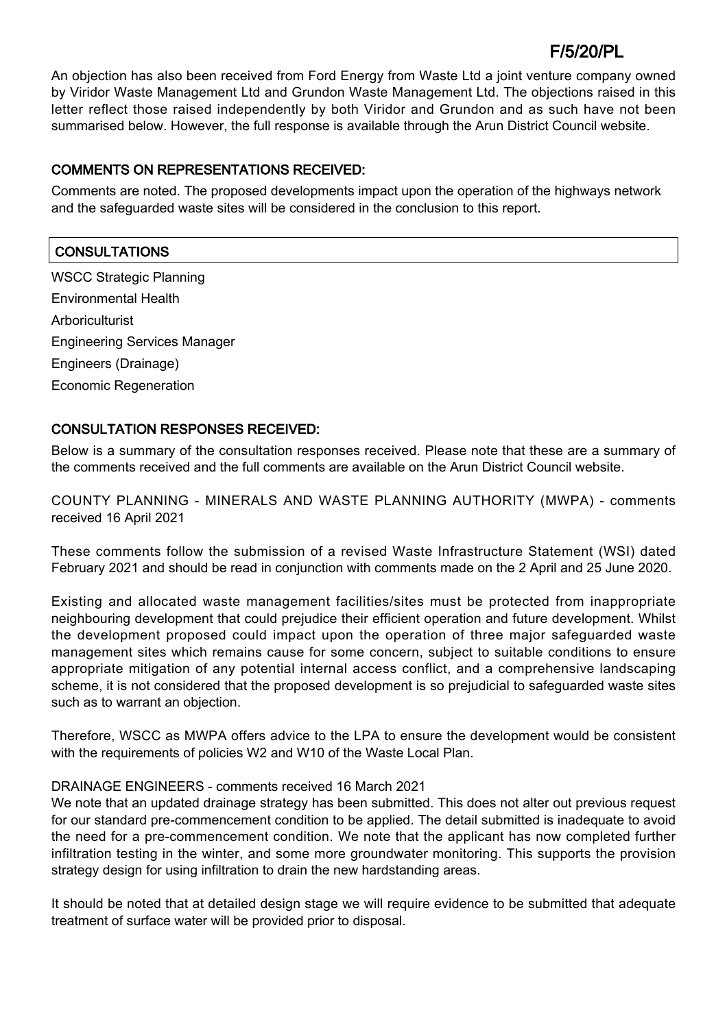An objection has also been received from Ford Energy from Waste Ltd a joint venture company owned by Viridor Waste Management Ltd and Grundon Waste Management Ltd. The objections raised in this letter reflect those raised independently by both Viridor and Grundon and as such have not been summarised below. However, the full response is available through the Arun District Council website.

# COMMENTS ON REPRESENTATIONS RECEIVED:

Comments are noted. The proposed developments impact upon the operation of the highways network and the safeguarded waste sites will be considered in the conclusion to this report.

# **CONSULTATIONS**

WSCC Strategic Planning Environmental Health Arboriculturist Engineering Services Manager Engineers (Drainage) Economic Regeneration

# CONSULTATION RESPONSES RECEIVED:

Below is a summary of the consultation responses received. Please note that these are a summary of the comments received and the full comments are available on the Arun District Council website.

COUNTY PLANNING - MINERALS AND WASTE PLANNING AUTHORITY (MWPA) - comments received 16 April 2021

These comments follow the submission of a revised Waste Infrastructure Statement (WSI) dated February 2021 and should be read in conjunction with comments made on the 2 April and 25 June 2020.

Existing and allocated waste management facilities/sites must be protected from inappropriate neighbouring development that could prejudice their efficient operation and future development. Whilst the development proposed could impact upon the operation of three major safeguarded waste management sites which remains cause for some concern, subject to suitable conditions to ensure appropriate mitigation of any potential internal access conflict, and a comprehensive landscaping scheme, it is not considered that the proposed development is so prejudicial to safeguarded waste sites such as to warrant an objection.

Therefore, WSCC as MWPA offers advice to the LPA to ensure the development would be consistent with the requirements of policies W2 and W10 of the Waste Local Plan.

# DRAINAGE ENGINEERS - comments received 16 March 2021

We note that an updated drainage strategy has been submitted. This does not alter out previous request for our standard pre-commencement condition to be applied. The detail submitted is inadequate to avoid the need for a pre-commencement condition. We note that the applicant has now completed further infiltration testing in the winter, and some more groundwater monitoring. This supports the provision strategy design for using infiltration to drain the new hardstanding areas.

It should be noted that at detailed design stage we will require evidence to be submitted that adequate treatment of surface water will be provided prior to disposal.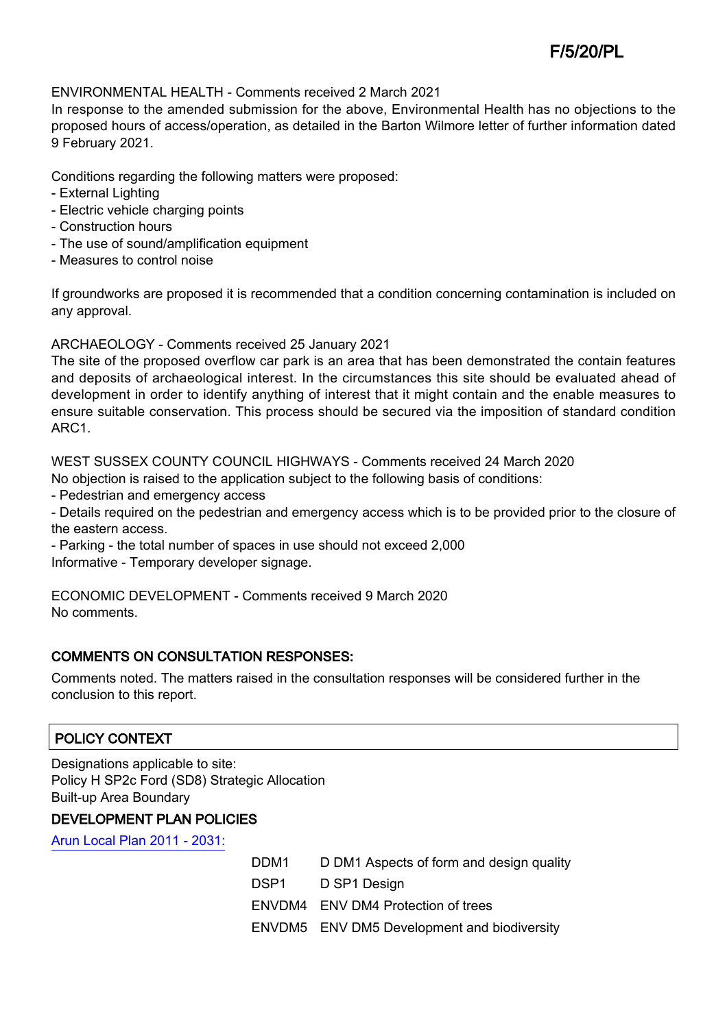#### ENVIRONMENTAL HEALTH - Comments received 2 March 2021

In response to the amended submission for the above, Environmental Health has no objections to the proposed hours of access/operation, as detailed in the Barton Wilmore letter of further information dated 9 February 2021.

Conditions regarding the following matters were proposed:

- External Lighting
- Electric vehicle charging points
- Construction hours
- The use of sound/amplification equipment
- Measures to control noise

If groundworks are proposed it is recommended that a condition concerning contamination is included on any approval.

ARCHAEOLOGY - Comments received 25 January 2021

The site of the proposed overflow car park is an area that has been demonstrated the contain features and deposits of archaeological interest. In the circumstances this site should be evaluated ahead of development in order to identify anything of interest that it might contain and the enable measures to ensure suitable conservation. This process should be secured via the imposition of standard condition ARC1.

WEST SUSSEX COUNTY COUNCIL HIGHWAYS - Comments received 24 March 2020

No objection is raised to the application subject to the following basis of conditions:

- Pedestrian and emergency access

- Details required on the pedestrian and emergency access which is to be provided prior to the closure of the eastern access.

- Parking - the total number of spaces in use should not exceed 2,000

Informative - Temporary developer signage.

ECONOMIC DEVELOPMENT - Comments received 9 March 2020 No comments.

# COMMENTS ON CONSULTATION RESPONSES:

Comments noted. The matters raised in the consultation responses will be considered further in the conclusion to this report.

# POLICY CONTEXT

Designations applicable to site: Policy H SP2c Ford (SD8) Strategic Allocation Built-up Area Boundary

# DEVELOPMENT PLAN POLICIES

[Arun Local Plan 2011 - 2031:](https://www.arun.gov.uk/adopted-local-plan)

| DDM1 | D DM1 Aspects of form and design quality    |
|------|---------------------------------------------|
|      | D SP1 Design                                |
|      | ENVDM4 ENV DM4 Protection of trees          |
|      | ENVDM5 ENV DM5 Development and biodiversity |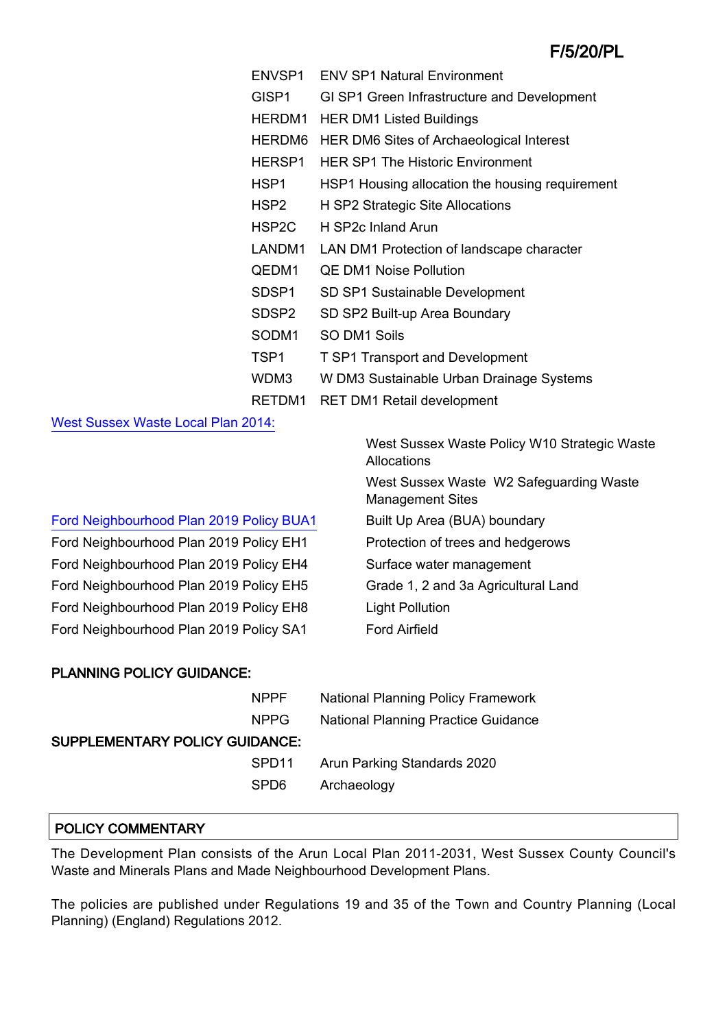| ENVSP1             | <b>ENV SP1 Natural Environment</b>              |
|--------------------|-------------------------------------------------|
| GISP <sub>1</sub>  | GI SP1 Green Infrastructure and Development     |
| HERDM1             | <b>HER DM1 Listed Buildings</b>                 |
| HERDM6             | HER DM6 Sites of Archaeological Interest        |
| HERSP1             | <b>HER SP1 The Historic Environment</b>         |
| HSP <sub>1</sub>   | HSP1 Housing allocation the housing requirement |
| HSP <sub>2</sub>   | H SP2 Strategic Site Allocations                |
| HSP <sub>2</sub> C | H SP2c Inland Arun                              |
| LANDM1             | LAN DM1 Protection of landscape character       |
| QEDM1              | <b>QE DM1 Noise Pollution</b>                   |
| SDSP1              | SD SP1 Sustainable Development                  |
| SDSP <sub>2</sub>  | SD SP2 Built-up Area Boundary                   |
| SODM1              | SO DM1 Soils                                    |
| TSP1               | <b>T SP1 Transport and Development</b>          |
| WDM3               | W DM3 Sustainable Urban Drainage Systems        |
| RETDM1             | <b>RET DM1 Retail development</b>               |

[West Sussex Waste Local Plan 2014:](https://www.westsussex.gov.uk/about-the-council/policies-and-reports/environment-planning-and-waste-policy-and-reports/minerals-and-waste-policy/waste-local-plan)

| Ford Neighbourhood Plan 2019 Policy BUA1 |  |  |
|------------------------------------------|--|--|
|                                          |  |  |

Ford Neighbourhood Plan 2019 Policy EH1 Protection of trees and hedgerows Ford Neighbourhood Plan 2019 Policy EH4 Surface water management Ford Neighbourhood Plan 2019 Policy EH5 Grade 1, 2 and 3a Agricultural Land Ford Neighbourhood Plan 2019 Policy EH8 Light Pollution Ford Neighbourhood Plan 2019 Policy SA1 Ford Airfield

West Sussex Waste Policy W10 Strategic Waste Allocations West Sussex Waste W2 Safeguarding Waste Management Sites Built Up Area (BUA) boundary

# PLANNING POLICY GUIDANCE:

| <b>NPPF</b>                           | National Planning Policy Framework  |
|---------------------------------------|-------------------------------------|
| NPPG.                                 | National Planning Practice Guidance |
| <b>SUPPLEMENTARY POLICY GUIDANCE:</b> |                                     |
| SPD <sub>11</sub>                     | Arun Parking Standards 2020         |
| SPD6                                  | Archaeology                         |

#### POLICY COMMENTARY

The Development Plan consists of the Arun Local Plan 2011-2031, West Sussex County Council's Waste and Minerals Plans and Made Neighbourhood Development Plans.

The policies are published under Regulations 19 and 35 of the Town and Country Planning (Local Planning) (England) Regulations 2012.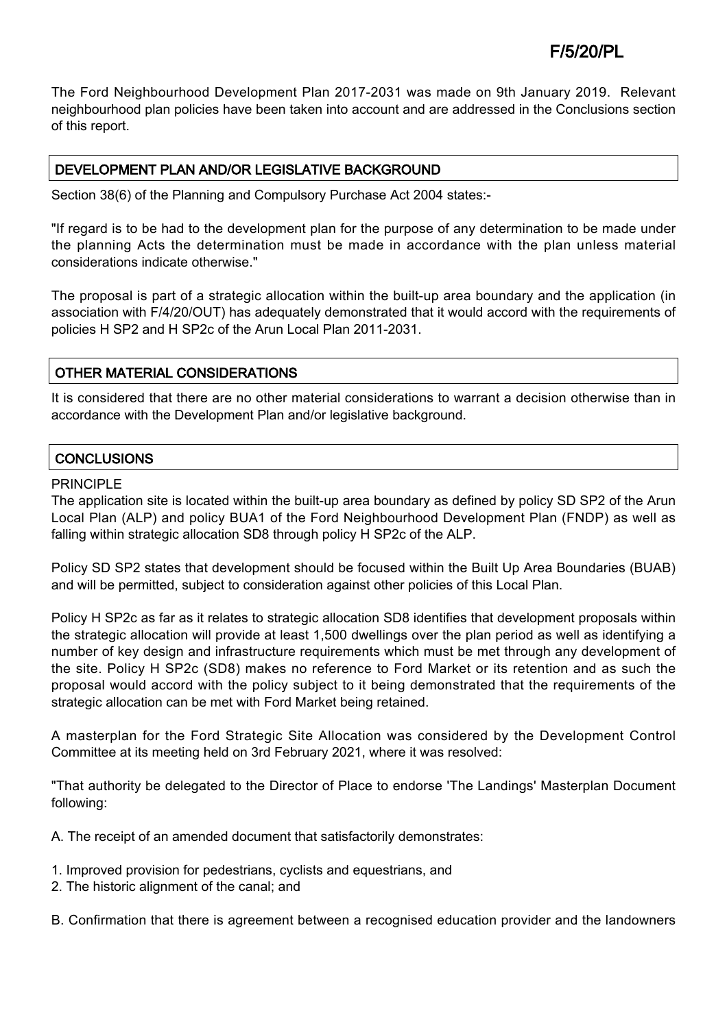The Ford Neighbourhood Development Plan 2017-2031 was made on 9th January 2019. Relevant neighbourhood plan policies have been taken into account and are addressed in the Conclusions section of this report.

# DEVELOPMENT PLAN AND/OR LEGISLATIVE BACKGROUND

Section 38(6) of the Planning and Compulsory Purchase Act 2004 states:-

"If regard is to be had to the development plan for the purpose of any determination to be made under the planning Acts the determination must be made in accordance with the plan unless material considerations indicate otherwise."

The proposal is part of a strategic allocation within the built-up area boundary and the application (in association with F/4/20/OUT) has adequately demonstrated that it would accord with the requirements of policies H SP2 and H SP2c of the Arun Local Plan 2011-2031.

# OTHER MATERIAL CONSIDERATIONS

It is considered that there are no other material considerations to warrant a decision otherwise than in accordance with the Development Plan and/or legislative background.

# **CONCLUSIONS**

#### PRINCIPLE

The application site is located within the built-up area boundary as defined by policy SD SP2 of the Arun Local Plan (ALP) and policy BUA1 of the Ford Neighbourhood Development Plan (FNDP) as well as falling within strategic allocation SD8 through policy H SP2c of the ALP.

Policy SD SP2 states that development should be focused within the Built Up Area Boundaries (BUAB) and will be permitted, subject to consideration against other policies of this Local Plan.

Policy H SP2c as far as it relates to strategic allocation SD8 identifies that development proposals within the strategic allocation will provide at least 1,500 dwellings over the plan period as well as identifying a number of key design and infrastructure requirements which must be met through any development of the site. Policy H SP2c (SD8) makes no reference to Ford Market or its retention and as such the proposal would accord with the policy subject to it being demonstrated that the requirements of the strategic allocation can be met with Ford Market being retained.

A masterplan for the Ford Strategic Site Allocation was considered by the Development Control Committee at its meeting held on 3rd February 2021, where it was resolved:

"That authority be delegated to the Director of Place to endorse 'The Landings' Masterplan Document following:

A. The receipt of an amended document that satisfactorily demonstrates:

- 1. Improved provision for pedestrians, cyclists and equestrians, and
- 2. The historic alignment of the canal; and

B. Confirmation that there is agreement between a recognised education provider and the landowners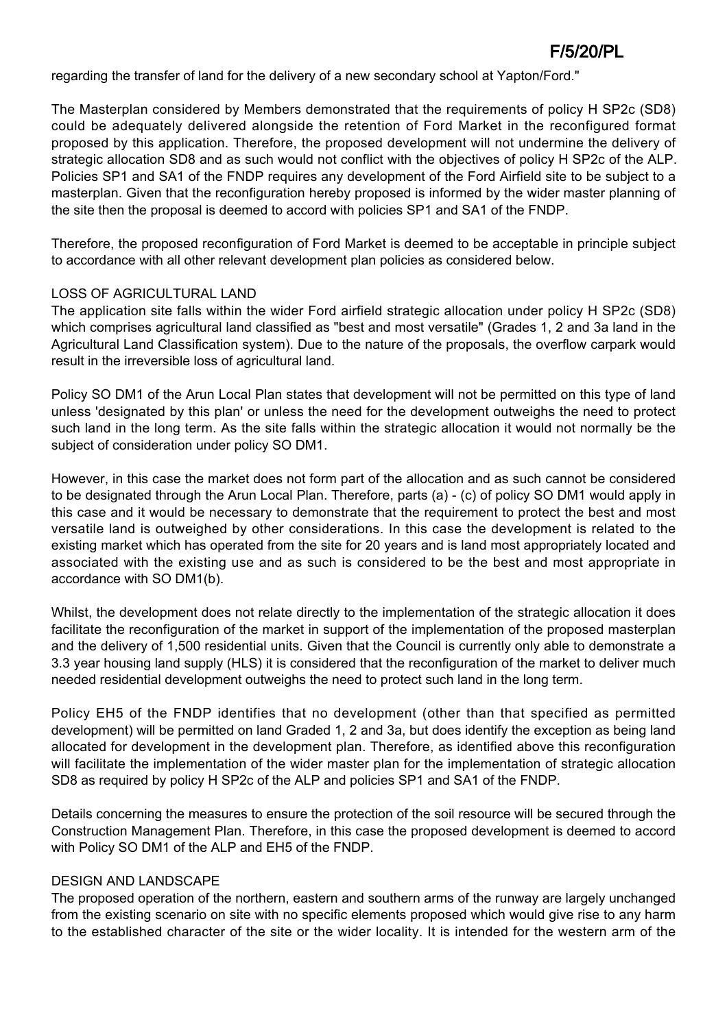regarding the transfer of land for the delivery of a new secondary school at Yapton/Ford."

The Masterplan considered by Members demonstrated that the requirements of policy H SP2c (SD8) could be adequately delivered alongside the retention of Ford Market in the reconfigured format proposed by this application. Therefore, the proposed development will not undermine the delivery of strategic allocation SD8 and as such would not conflict with the objectives of policy H SP2c of the ALP. Policies SP1 and SA1 of the FNDP requires any development of the Ford Airfield site to be subject to a masterplan. Given that the reconfiguration hereby proposed is informed by the wider master planning of the site then the proposal is deemed to accord with policies SP1 and SA1 of the FNDP.

Therefore, the proposed reconfiguration of Ford Market is deemed to be acceptable in principle subject to accordance with all other relevant development plan policies as considered below.

#### LOSS OF AGRICULTURAL LAND

The application site falls within the wider Ford airfield strategic allocation under policy H SP2c (SD8) which comprises agricultural land classified as "best and most versatile" (Grades 1, 2 and 3a land in the Agricultural Land Classification system). Due to the nature of the proposals, the overflow carpark would result in the irreversible loss of agricultural land.

Policy SO DM1 of the Arun Local Plan states that development will not be permitted on this type of land unless 'designated by this plan' or unless the need for the development outweighs the need to protect such land in the long term. As the site falls within the strategic allocation it would not normally be the subject of consideration under policy SO DM1.

However, in this case the market does not form part of the allocation and as such cannot be considered to be designated through the Arun Local Plan. Therefore, parts (a) - (c) of policy SO DM1 would apply in this case and it would be necessary to demonstrate that the requirement to protect the best and most versatile land is outweighed by other considerations. In this case the development is related to the existing market which has operated from the site for 20 years and is land most appropriately located and associated with the existing use and as such is considered to be the best and most appropriate in accordance with SO DM1(b).

Whilst, the development does not relate directly to the implementation of the strategic allocation it does facilitate the reconfiguration of the market in support of the implementation of the proposed masterplan and the delivery of 1,500 residential units. Given that the Council is currently only able to demonstrate a 3.3 year housing land supply (HLS) it is considered that the reconfiguration of the market to deliver much needed residential development outweighs the need to protect such land in the long term.

Policy EH5 of the FNDP identifies that no development (other than that specified as permitted development) will be permitted on land Graded 1, 2 and 3a, but does identify the exception as being land allocated for development in the development plan. Therefore, as identified above this reconfiguration will facilitate the implementation of the wider master plan for the implementation of strategic allocation SD8 as required by policy H SP2c of the ALP and policies SP1 and SA1 of the FNDP.

Details concerning the measures to ensure the protection of the soil resource will be secured through the Construction Management Plan. Therefore, in this case the proposed development is deemed to accord with Policy SO DM1 of the ALP and EH5 of the FNDP.

#### DESIGN AND LANDSCAPE

The proposed operation of the northern, eastern and southern arms of the runway are largely unchanged from the existing scenario on site with no specific elements proposed which would give rise to any harm to the established character of the site or the wider locality. It is intended for the western arm of the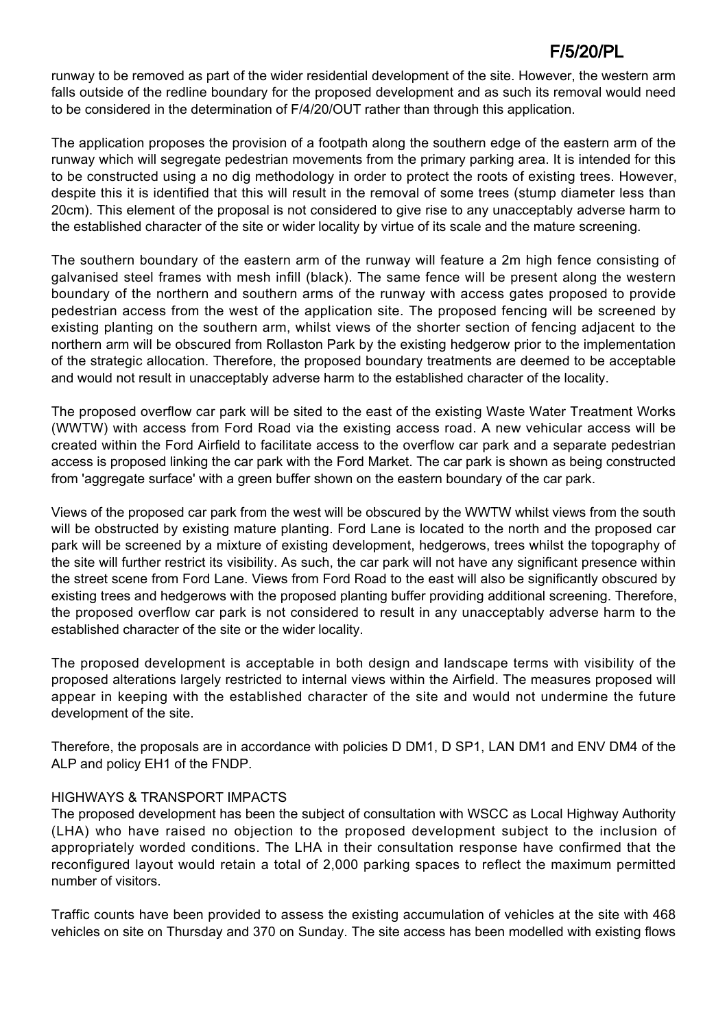runway to be removed as part of the wider residential development of the site. However, the western arm falls outside of the redline boundary for the proposed development and as such its removal would need to be considered in the determination of F/4/20/OUT rather than through this application.

The application proposes the provision of a footpath along the southern edge of the eastern arm of the runway which will segregate pedestrian movements from the primary parking area. It is intended for this to be constructed using a no dig methodology in order to protect the roots of existing trees. However, despite this it is identified that this will result in the removal of some trees (stump diameter less than 20cm). This element of the proposal is not considered to give rise to any unacceptably adverse harm to the established character of the site or wider locality by virtue of its scale and the mature screening.

The southern boundary of the eastern arm of the runway will feature a 2m high fence consisting of galvanised steel frames with mesh infill (black). The same fence will be present along the western boundary of the northern and southern arms of the runway with access gates proposed to provide pedestrian access from the west of the application site. The proposed fencing will be screened by existing planting on the southern arm, whilst views of the shorter section of fencing adjacent to the northern arm will be obscured from Rollaston Park by the existing hedgerow prior to the implementation of the strategic allocation. Therefore, the proposed boundary treatments are deemed to be acceptable and would not result in unacceptably adverse harm to the established character of the locality.

The proposed overflow car park will be sited to the east of the existing Waste Water Treatment Works (WWTW) with access from Ford Road via the existing access road. A new vehicular access will be created within the Ford Airfield to facilitate access to the overflow car park and a separate pedestrian access is proposed linking the car park with the Ford Market. The car park is shown as being constructed from 'aggregate surface' with a green buffer shown on the eastern boundary of the car park.

Views of the proposed car park from the west will be obscured by the WWTW whilst views from the south will be obstructed by existing mature planting. Ford Lane is located to the north and the proposed car park will be screened by a mixture of existing development, hedgerows, trees whilst the topography of the site will further restrict its visibility. As such, the car park will not have any significant presence within the street scene from Ford Lane. Views from Ford Road to the east will also be significantly obscured by existing trees and hedgerows with the proposed planting buffer providing additional screening. Therefore, the proposed overflow car park is not considered to result in any unacceptably adverse harm to the established character of the site or the wider locality.

The proposed development is acceptable in both design and landscape terms with visibility of the proposed alterations largely restricted to internal views within the Airfield. The measures proposed will appear in keeping with the established character of the site and would not undermine the future development of the site.

Therefore, the proposals are in accordance with policies D DM1, D SP1, LAN DM1 and ENV DM4 of the ALP and policy EH1 of the FNDP.

#### HIGHWAYS & TRANSPORT IMPACTS

The proposed development has been the subject of consultation with WSCC as Local Highway Authority (LHA) who have raised no objection to the proposed development subject to the inclusion of appropriately worded conditions. The LHA in their consultation response have confirmed that the reconfigured layout would retain a total of 2,000 parking spaces to reflect the maximum permitted number of visitors.

Traffic counts have been provided to assess the existing accumulation of vehicles at the site with 468 vehicles on site on Thursday and 370 on Sunday. The site access has been modelled with existing flows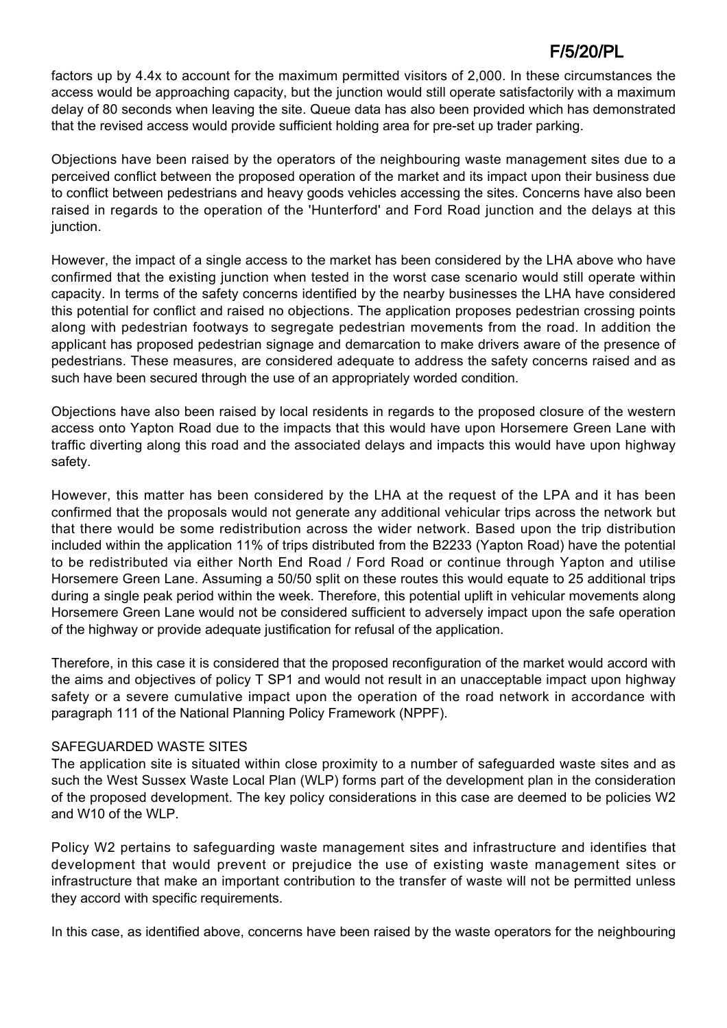factors up by 4.4x to account for the maximum permitted visitors of 2,000. In these circumstances the access would be approaching capacity, but the junction would still operate satisfactorily with a maximum delay of 80 seconds when leaving the site. Queue data has also been provided which has demonstrated that the revised access would provide sufficient holding area for pre-set up trader parking.

Objections have been raised by the operators of the neighbouring waste management sites due to a perceived conflict between the proposed operation of the market and its impact upon their business due to conflict between pedestrians and heavy goods vehicles accessing the sites. Concerns have also been raised in regards to the operation of the 'Hunterford' and Ford Road junction and the delays at this junction.

However, the impact of a single access to the market has been considered by the LHA above who have confirmed that the existing junction when tested in the worst case scenario would still operate within capacity. In terms of the safety concerns identified by the nearby businesses the LHA have considered this potential for conflict and raised no objections. The application proposes pedestrian crossing points along with pedestrian footways to segregate pedestrian movements from the road. In addition the applicant has proposed pedestrian signage and demarcation to make drivers aware of the presence of pedestrians. These measures, are considered adequate to address the safety concerns raised and as such have been secured through the use of an appropriately worded condition.

Objections have also been raised by local residents in regards to the proposed closure of the western access onto Yapton Road due to the impacts that this would have upon Horsemere Green Lane with traffic diverting along this road and the associated delays and impacts this would have upon highway safety.

However, this matter has been considered by the LHA at the request of the LPA and it has been confirmed that the proposals would not generate any additional vehicular trips across the network but that there would be some redistribution across the wider network. Based upon the trip distribution included within the application 11% of trips distributed from the B2233 (Yapton Road) have the potential to be redistributed via either North End Road / Ford Road or continue through Yapton and utilise Horsemere Green Lane. Assuming a 50/50 split on these routes this would equate to 25 additional trips during a single peak period within the week. Therefore, this potential uplift in vehicular movements along Horsemere Green Lane would not be considered sufficient to adversely impact upon the safe operation of the highway or provide adequate justification for refusal of the application.

Therefore, in this case it is considered that the proposed reconfiguration of the market would accord with the aims and objectives of policy T SP1 and would not result in an unacceptable impact upon highway safety or a severe cumulative impact upon the operation of the road network in accordance with paragraph 111 of the National Planning Policy Framework (NPPF).

# SAFEGUARDED WASTE SITES

The application site is situated within close proximity to a number of safeguarded waste sites and as such the West Sussex Waste Local Plan (WLP) forms part of the development plan in the consideration of the proposed development. The key policy considerations in this case are deemed to be policies W2 and W10 of the WLP.

Policy W2 pertains to safeguarding waste management sites and infrastructure and identifies that development that would prevent or prejudice the use of existing waste management sites or infrastructure that make an important contribution to the transfer of waste will not be permitted unless they accord with specific requirements.

In this case, as identified above, concerns have been raised by the waste operators for the neighbouring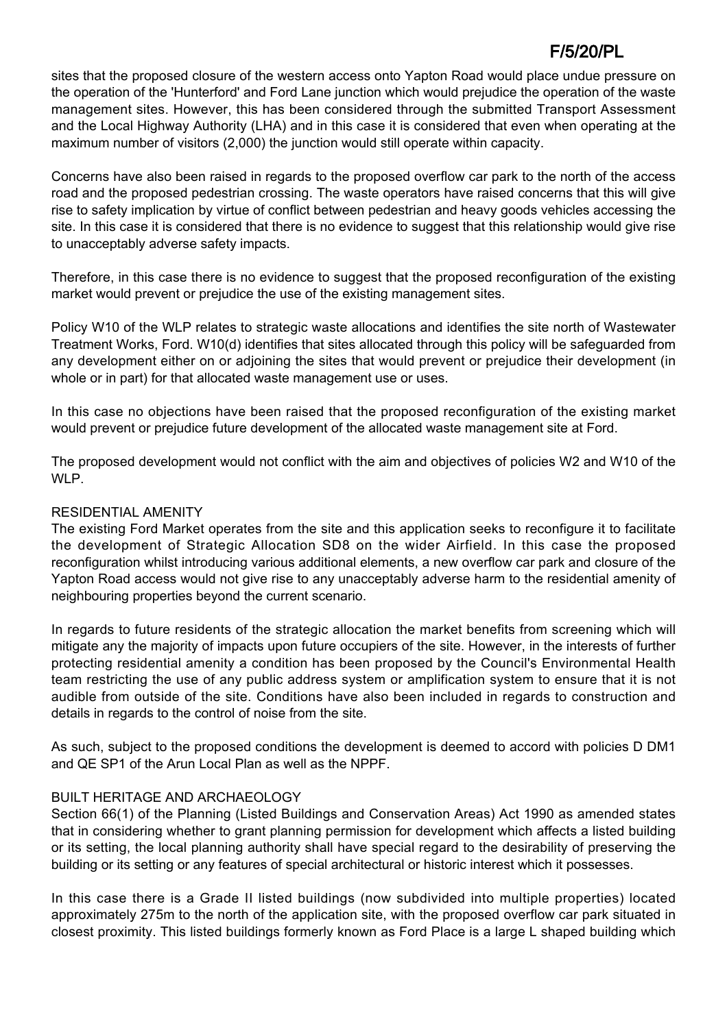sites that the proposed closure of the western access onto Yapton Road would place undue pressure on the operation of the 'Hunterford' and Ford Lane junction which would prejudice the operation of the waste management sites. However, this has been considered through the submitted Transport Assessment and the Local Highway Authority (LHA) and in this case it is considered that even when operating at the maximum number of visitors (2,000) the junction would still operate within capacity.

Concerns have also been raised in regards to the proposed overflow car park to the north of the access road and the proposed pedestrian crossing. The waste operators have raised concerns that this will give rise to safety implication by virtue of conflict between pedestrian and heavy goods vehicles accessing the site. In this case it is considered that there is no evidence to suggest that this relationship would give rise to unacceptably adverse safety impacts.

Therefore, in this case there is no evidence to suggest that the proposed reconfiguration of the existing market would prevent or prejudice the use of the existing management sites.

Policy W10 of the WLP relates to strategic waste allocations and identifies the site north of Wastewater Treatment Works, Ford. W10(d) identifies that sites allocated through this policy will be safeguarded from any development either on or adjoining the sites that would prevent or prejudice their development (in whole or in part) for that allocated waste management use or uses.

In this case no objections have been raised that the proposed reconfiguration of the existing market would prevent or prejudice future development of the allocated waste management site at Ford.

The proposed development would not conflict with the aim and objectives of policies W2 and W10 of the WI<sub>P</sub>

### RESIDENTIAL AMENITY

The existing Ford Market operates from the site and this application seeks to reconfigure it to facilitate the development of Strategic Allocation SD8 on the wider Airfield. In this case the proposed reconfiguration whilst introducing various additional elements, a new overflow car park and closure of the Yapton Road access would not give rise to any unacceptably adverse harm to the residential amenity of neighbouring properties beyond the current scenario.

In regards to future residents of the strategic allocation the market benefits from screening which will mitigate any the majority of impacts upon future occupiers of the site. However, in the interests of further protecting residential amenity a condition has been proposed by the Council's Environmental Health team restricting the use of any public address system or amplification system to ensure that it is not audible from outside of the site. Conditions have also been included in regards to construction and details in regards to the control of noise from the site.

As such, subject to the proposed conditions the development is deemed to accord with policies D DM1 and QE SP1 of the Arun Local Plan as well as the NPPF.

#### BUILT HERITAGE AND ARCHAEOLOGY

Section 66(1) of the Planning (Listed Buildings and Conservation Areas) Act 1990 as amended states that in considering whether to grant planning permission for development which affects a listed building or its setting, the local planning authority shall have special regard to the desirability of preserving the building or its setting or any features of special architectural or historic interest which it possesses.

In this case there is a Grade II listed buildings (now subdivided into multiple properties) located approximately 275m to the north of the application site, with the proposed overflow car park situated in closest proximity. This listed buildings formerly known as Ford Place is a large L shaped building which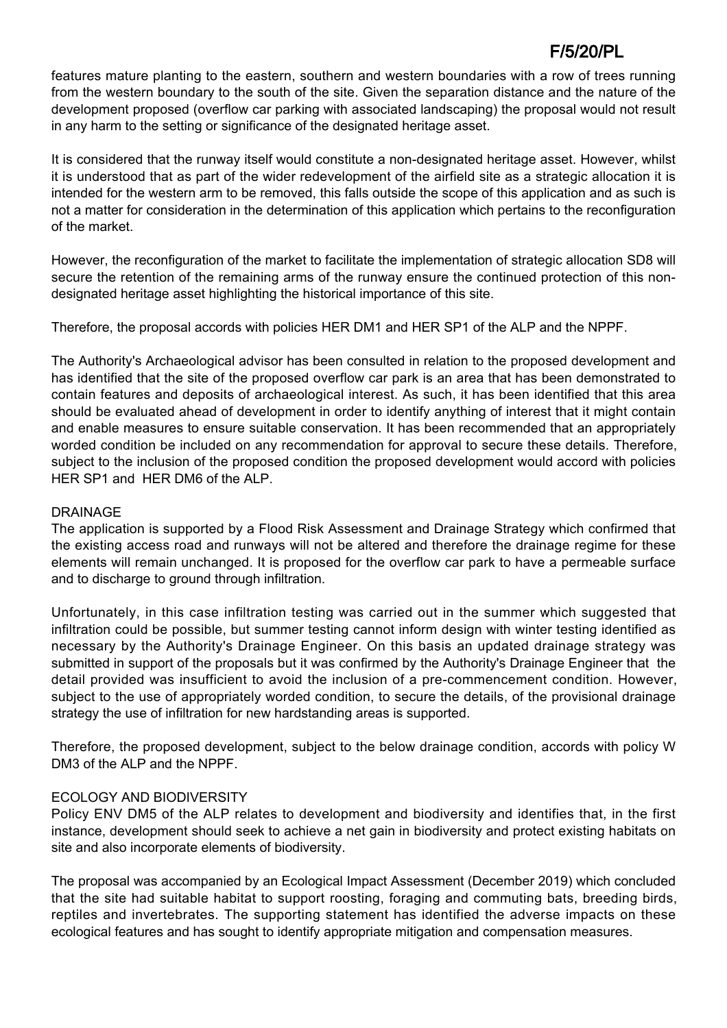features mature planting to the eastern, southern and western boundaries with a row of trees running from the western boundary to the south of the site. Given the separation distance and the nature of the development proposed (overflow car parking with associated landscaping) the proposal would not result in any harm to the setting or significance of the designated heritage asset.

It is considered that the runway itself would constitute a non-designated heritage asset. However, whilst it is understood that as part of the wider redevelopment of the airfield site as a strategic allocation it is intended for the western arm to be removed, this falls outside the scope of this application and as such is not a matter for consideration in the determination of this application which pertains to the reconfiguration of the market.

However, the reconfiguration of the market to facilitate the implementation of strategic allocation SD8 will secure the retention of the remaining arms of the runway ensure the continued protection of this nondesignated heritage asset highlighting the historical importance of this site.

Therefore, the proposal accords with policies HER DM1 and HER SP1 of the ALP and the NPPF.

The Authority's Archaeological advisor has been consulted in relation to the proposed development and has identified that the site of the proposed overflow car park is an area that has been demonstrated to contain features and deposits of archaeological interest. As such, it has been identified that this area should be evaluated ahead of development in order to identify anything of interest that it might contain and enable measures to ensure suitable conservation. It has been recommended that an appropriately worded condition be included on any recommendation for approval to secure these details. Therefore, subject to the inclusion of the proposed condition the proposed development would accord with policies HER SP1 and HER DM6 of the ALP.

#### DRAINAGE

The application is supported by a Flood Risk Assessment and Drainage Strategy which confirmed that the existing access road and runways will not be altered and therefore the drainage regime for these elements will remain unchanged. It is proposed for the overflow car park to have a permeable surface and to discharge to ground through infiltration.

Unfortunately, in this case infiltration testing was carried out in the summer which suggested that infiltration could be possible, but summer testing cannot inform design with winter testing identified as necessary by the Authority's Drainage Engineer. On this basis an updated drainage strategy was submitted in support of the proposals but it was confirmed by the Authority's Drainage Engineer that the detail provided was insufficient to avoid the inclusion of a pre-commencement condition. However, subject to the use of appropriately worded condition, to secure the details, of the provisional drainage strategy the use of infiltration for new hardstanding areas is supported.

Therefore, the proposed development, subject to the below drainage condition, accords with policy W DM3 of the ALP and the NPPF.

# ECOLOGY AND BIODIVERSITY

Policy ENV DM5 of the ALP relates to development and biodiversity and identifies that, in the first instance, development should seek to achieve a net gain in biodiversity and protect existing habitats on site and also incorporate elements of biodiversity.

The proposal was accompanied by an Ecological Impact Assessment (December 2019) which concluded that the site had suitable habitat to support roosting, foraging and commuting bats, breeding birds, reptiles and invertebrates. The supporting statement has identified the adverse impacts on these ecological features and has sought to identify appropriate mitigation and compensation measures.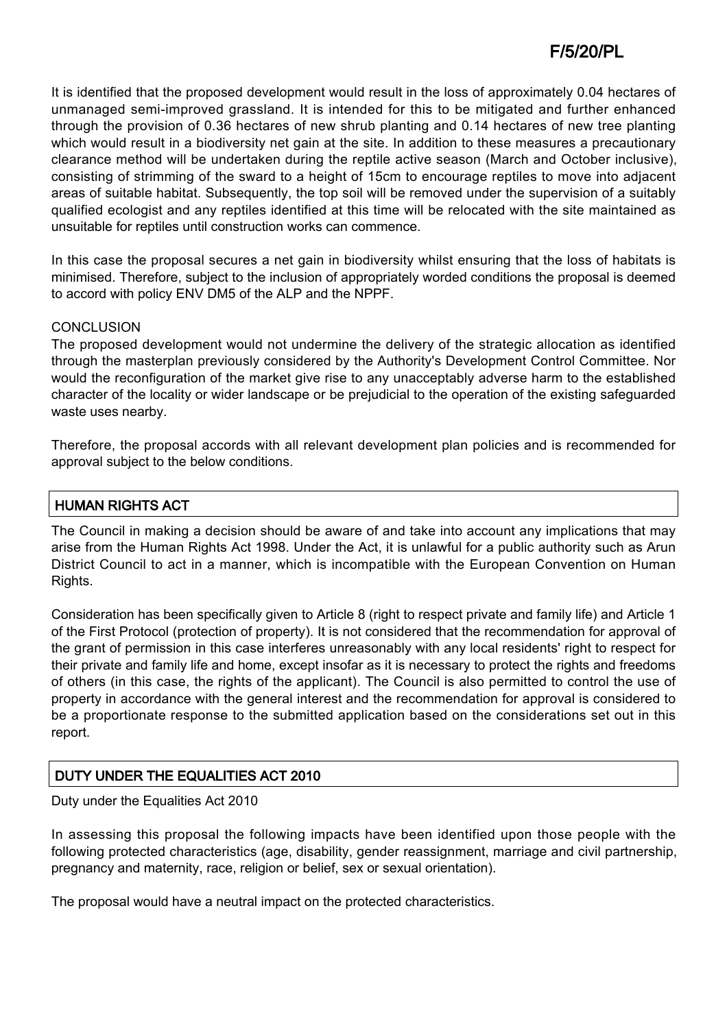It is identified that the proposed development would result in the loss of approximately 0.04 hectares of unmanaged semi-improved grassland. It is intended for this to be mitigated and further enhanced through the provision of 0.36 hectares of new shrub planting and 0.14 hectares of new tree planting which would result in a biodiversity net gain at the site. In addition to these measures a precautionary clearance method will be undertaken during the reptile active season (March and October inclusive), consisting of strimming of the sward to a height of 15cm to encourage reptiles to move into adjacent areas of suitable habitat. Subsequently, the top soil will be removed under the supervision of a suitably qualified ecologist and any reptiles identified at this time will be relocated with the site maintained as unsuitable for reptiles until construction works can commence.

In this case the proposal secures a net gain in biodiversity whilst ensuring that the loss of habitats is minimised. Therefore, subject to the inclusion of appropriately worded conditions the proposal is deemed to accord with policy ENV DM5 of the ALP and the NPPF.

#### **CONCLUSION**

The proposed development would not undermine the delivery of the strategic allocation as identified through the masterplan previously considered by the Authority's Development Control Committee. Nor would the reconfiguration of the market give rise to any unacceptably adverse harm to the established character of the locality or wider landscape or be prejudicial to the operation of the existing safeguarded waste uses nearby.

Therefore, the proposal accords with all relevant development plan policies and is recommended for approval subject to the below conditions.

# HUMAN RIGHTS ACT

The Council in making a decision should be aware of and take into account any implications that may arise from the Human Rights Act 1998. Under the Act, it is unlawful for a public authority such as Arun District Council to act in a manner, which is incompatible with the European Convention on Human Rights.

Consideration has been specifically given to Article 8 (right to respect private and family life) and Article 1 of the First Protocol (protection of property). It is not considered that the recommendation for approval of the grant of permission in this case interferes unreasonably with any local residents' right to respect for their private and family life and home, except insofar as it is necessary to protect the rights and freedoms of others (in this case, the rights of the applicant). The Council is also permitted to control the use of property in accordance with the general interest and the recommendation for approval is considered to be a proportionate response to the submitted application based on the considerations set out in this report.

#### DUTY UNDER THE EQUALITIES ACT 2010

#### Duty under the Equalities Act 2010

In assessing this proposal the following impacts have been identified upon those people with the following protected characteristics (age, disability, gender reassignment, marriage and civil partnership, pregnancy and maternity, race, religion or belief, sex or sexual orientation).

The proposal would have a neutral impact on the protected characteristics.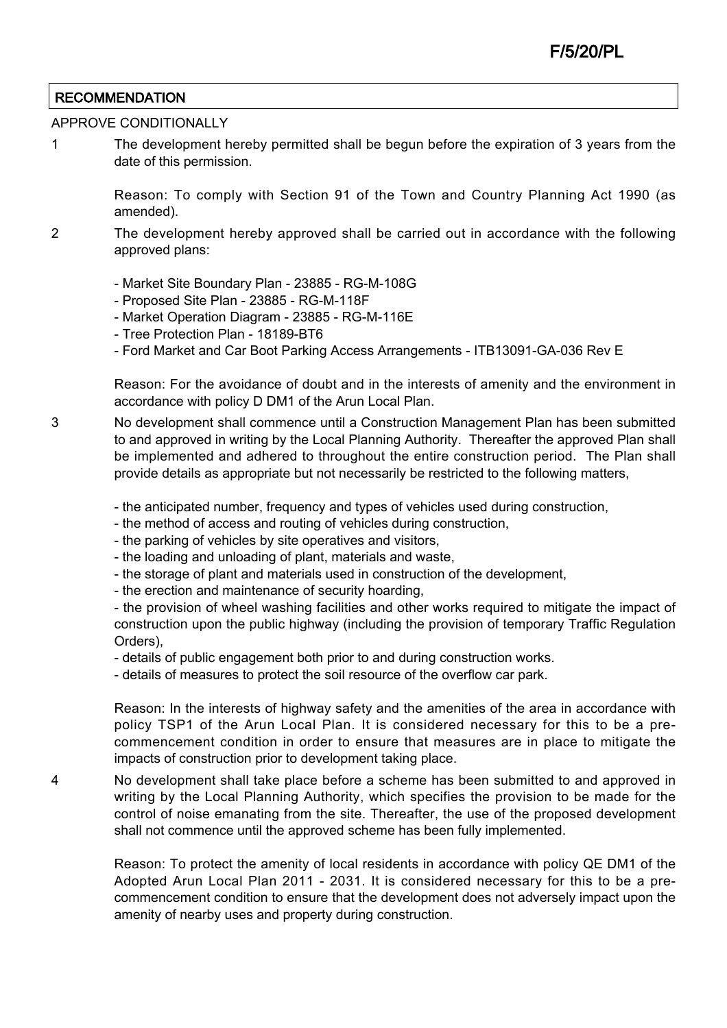## **RECOMMENDATION**

#### APPROVE CONDITIONALLY

1 The development hereby permitted shall be begun before the expiration of 3 years from the date of this permission.

> Reason: To comply with Section 91 of the Town and Country Planning Act 1990 (as amended).

- 2 The development hereby approved shall be carried out in accordance with the following approved plans:
	- Market Site Boundary Plan 23885 RG-M-108G
	- Proposed Site Plan 23885 RG-M-118F
	- Market Operation Diagram 23885 RG-M-116E
	- Tree Protection Plan 18189-BT6
	- Ford Market and Car Boot Parking Access Arrangements ITB13091-GA-036 Rev E

Reason: For the avoidance of doubt and in the interests of amenity and the environment in accordance with policy D DM1 of the Arun Local Plan.

- 3 No development shall commence until a Construction Management Plan has been submitted to and approved in writing by the Local Planning Authority. Thereafter the approved Plan shall be implemented and adhered to throughout the entire construction period. The Plan shall provide details as appropriate but not necessarily be restricted to the following matters,
	- the anticipated number, frequency and types of vehicles used during construction,
	- the method of access and routing of vehicles during construction,
	- the parking of vehicles by site operatives and visitors,
	- the loading and unloading of plant, materials and waste,
	- the storage of plant and materials used in construction of the development,

- the erection and maintenance of security hoarding,

- the provision of wheel washing facilities and other works required to mitigate the impact of construction upon the public highway (including the provision of temporary Traffic Regulation Orders),

- details of public engagement both prior to and during construction works.

- details of measures to protect the soil resource of the overflow car park.

Reason: In the interests of highway safety and the amenities of the area in accordance with policy TSP1 of the Arun Local Plan. It is considered necessary for this to be a precommencement condition in order to ensure that measures are in place to mitigate the impacts of construction prior to development taking place.

4 No development shall take place before a scheme has been submitted to and approved in writing by the Local Planning Authority, which specifies the provision to be made for the control of noise emanating from the site. Thereafter, the use of the proposed development shall not commence until the approved scheme has been fully implemented.

Reason: To protect the amenity of local residents in accordance with policy QE DM1 of the Adopted Arun Local Plan 2011 - 2031. It is considered necessary for this to be a precommencement condition to ensure that the development does not adversely impact upon the amenity of nearby uses and property during construction.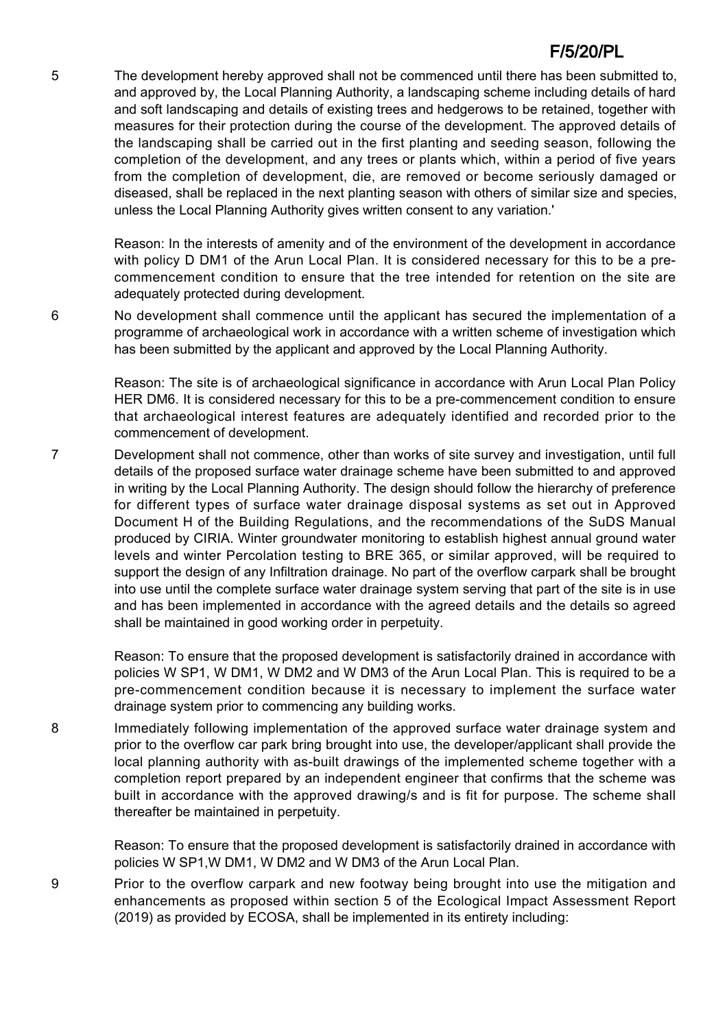5 The development hereby approved shall not be commenced until there has been submitted to, and approved by, the Local Planning Authority, a landscaping scheme including details of hard and soft landscaping and details of existing trees and hedgerows to be retained, together with measures for their protection during the course of the development. The approved details of the landscaping shall be carried out in the first planting and seeding season, following the completion of the development, and any trees or plants which, within a period of five years from the completion of development, die, are removed or become seriously damaged or diseased, shall be replaced in the next planting season with others of similar size and species, unless the Local Planning Authority gives written consent to any variation.'

> Reason: In the interests of amenity and of the environment of the development in accordance with policy D DM1 of the Arun Local Plan. It is considered necessary for this to be a precommencement condition to ensure that the tree intended for retention on the site are adequately protected during development.

6 No development shall commence until the applicant has secured the implementation of a programme of archaeological work in accordance with a written scheme of investigation which has been submitted by the applicant and approved by the Local Planning Authority.

> Reason: The site is of archaeological significance in accordance with Arun Local Plan Policy HER DM6. It is considered necessary for this to be a pre-commencement condition to ensure that archaeological interest features are adequately identified and recorded prior to the commencement of development.

7 Development shall not commence, other than works of site survey and investigation, until full details of the proposed surface water drainage scheme have been submitted to and approved in writing by the Local Planning Authority. The design should follow the hierarchy of preference for different types of surface water drainage disposal systems as set out in Approved Document H of the Building Regulations, and the recommendations of the SuDS Manual produced by CIRIA. Winter groundwater monitoring to establish highest annual ground water levels and winter Percolation testing to BRE 365, or similar approved, will be required to support the design of any Infiltration drainage. No part of the overflow carpark shall be brought into use until the complete surface water drainage system serving that part of the site is in use and has been implemented in accordance with the agreed details and the details so agreed shall be maintained in good working order in perpetuity.

> Reason: To ensure that the proposed development is satisfactorily drained in accordance with policies W SP1, W DM1, W DM2 and W DM3 of the Arun Local Plan. This is required to be a pre-commencement condition because it is necessary to implement the surface water drainage system prior to commencing any building works.

8 Immediately following implementation of the approved surface water drainage system and prior to the overflow car park bring brought into use, the developer/applicant shall provide the local planning authority with as-built drawings of the implemented scheme together with a completion report prepared by an independent engineer that confirms that the scheme was built in accordance with the approved drawing/s and is fit for purpose. The scheme shall thereafter be maintained in perpetuity.

> Reason: To ensure that the proposed development is satisfactorily drained in accordance with policies W SP1,W DM1, W DM2 and W DM3 of the Arun Local Plan.

9 Prior to the overflow carpark and new footway being brought into use the mitigation and enhancements as proposed within section 5 of the Ecological Impact Assessment Report (2019) as provided by ECOSA, shall be implemented in its entirety including: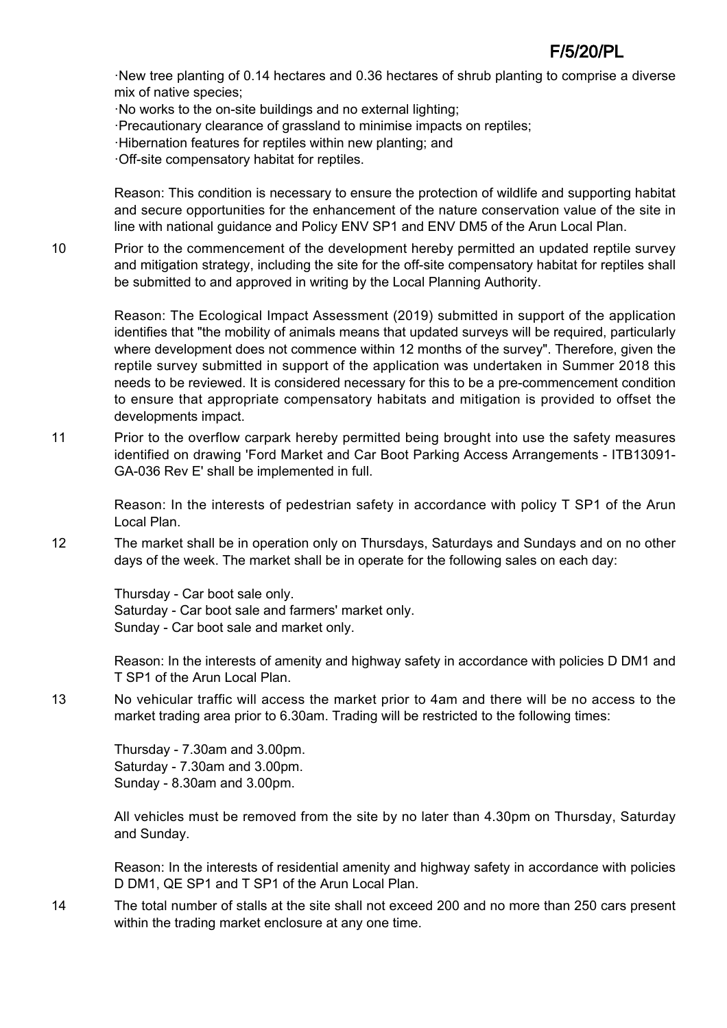·New tree planting of 0.14 hectares and 0.36 hectares of shrub planting to comprise a diverse mix of native species;

·No works to the on-site buildings and no external lighting;

·Precautionary clearance of grassland to minimise impacts on reptiles;

·Hibernation features for reptiles within new planting; and

·Off-site compensatory habitat for reptiles.

Reason: This condition is necessary to ensure the protection of wildlife and supporting habitat and secure opportunities for the enhancement of the nature conservation value of the site in line with national guidance and Policy ENV SP1 and ENV DM5 of the Arun Local Plan.

10 Prior to the commencement of the development hereby permitted an updated reptile survey and mitigation strategy, including the site for the off-site compensatory habitat for reptiles shall be submitted to and approved in writing by the Local Planning Authority.

Reason: The Ecological Impact Assessment (2019) submitted in support of the application identifies that "the mobility of animals means that updated surveys will be required, particularly where development does not commence within 12 months of the survey". Therefore, given the reptile survey submitted in support of the application was undertaken in Summer 2018 this needs to be reviewed. It is considered necessary for this to be a pre-commencement condition to ensure that appropriate compensatory habitats and mitigation is provided to offset the developments impact.

11 Prior to the overflow carpark hereby permitted being brought into use the safety measures identified on drawing 'Ford Market and Car Boot Parking Access Arrangements - ITB13091- GA-036 Rev E' shall be implemented in full.

Reason: In the interests of pedestrian safety in accordance with policy T SP1 of the Arun Local Plan.

12 The market shall be in operation only on Thursdays, Saturdays and Sundays and on no other days of the week. The market shall be in operate for the following sales on each day:

Thursday - Car boot sale only. Saturday - Car boot sale and farmers' market only. Sunday - Car boot sale and market only.

Reason: In the interests of amenity and highway safety in accordance with policies D DM1 and T SP1 of the Arun Local Plan.

13 No vehicular traffic will access the market prior to 4am and there will be no access to the market trading area prior to 6.30am. Trading will be restricted to the following times:

Thursday - 7.30am and 3.00pm. Saturday - 7.30am and 3.00pm. Sunday - 8.30am and 3.00pm.

All vehicles must be removed from the site by no later than 4.30pm on Thursday, Saturday and Sunday.

Reason: In the interests of residential amenity and highway safety in accordance with policies D DM1, QE SP1 and T SP1 of the Arun Local Plan.

14 The total number of stalls at the site shall not exceed 200 and no more than 250 cars present within the trading market enclosure at any one time.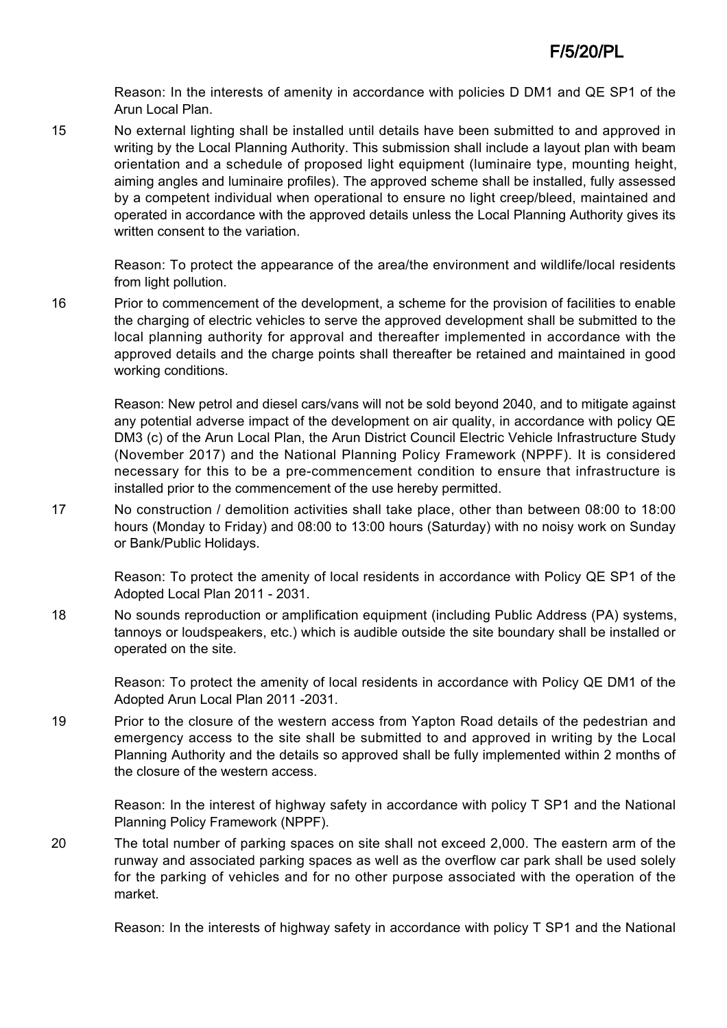Reason: In the interests of amenity in accordance with policies D DM1 and QE SP1 of the Arun Local Plan.

15 No external lighting shall be installed until details have been submitted to and approved in writing by the Local Planning Authority. This submission shall include a layout plan with beam orientation and a schedule of proposed light equipment (luminaire type, mounting height, aiming angles and luminaire profiles). The approved scheme shall be installed, fully assessed by a competent individual when operational to ensure no light creep/bleed, maintained and operated in accordance with the approved details unless the Local Planning Authority gives its written consent to the variation.

Reason: To protect the appearance of the area/the environment and wildlife/local residents from light pollution.

16 Prior to commencement of the development, a scheme for the provision of facilities to enable the charging of electric vehicles to serve the approved development shall be submitted to the local planning authority for approval and thereafter implemented in accordance with the approved details and the charge points shall thereafter be retained and maintained in good working conditions.

Reason: New petrol and diesel cars/vans will not be sold beyond 2040, and to mitigate against any potential adverse impact of the development on air quality, in accordance with policy QE DM3 (c) of the Arun Local Plan, the Arun District Council Electric Vehicle Infrastructure Study (November 2017) and the National Planning Policy Framework (NPPF). It is considered necessary for this to be a pre-commencement condition to ensure that infrastructure is installed prior to the commencement of the use hereby permitted.

17 No construction / demolition activities shall take place, other than between 08:00 to 18:00 hours (Monday to Friday) and 08:00 to 13:00 hours (Saturday) with no noisy work on Sunday or Bank/Public Holidays.

Reason: To protect the amenity of local residents in accordance with Policy QE SP1 of the Adopted Local Plan 2011 - 2031.

18 No sounds reproduction or amplification equipment (including Public Address (PA) systems, tannoys or loudspeakers, etc.) which is audible outside the site boundary shall be installed or operated on the site.

Reason: To protect the amenity of local residents in accordance with Policy QE DM1 of the Adopted Arun Local Plan 2011 -2031.

19 Prior to the closure of the western access from Yapton Road details of the pedestrian and emergency access to the site shall be submitted to and approved in writing by the Local Planning Authority and the details so approved shall be fully implemented within 2 months of the closure of the western access.

Reason: In the interest of highway safety in accordance with policy T SP1 and the National Planning Policy Framework (NPPF).

20 The total number of parking spaces on site shall not exceed 2,000. The eastern arm of the runway and associated parking spaces as well as the overflow car park shall be used solely for the parking of vehicles and for no other purpose associated with the operation of the market.

Reason: In the interests of highway safety in accordance with policy T SP1 and the National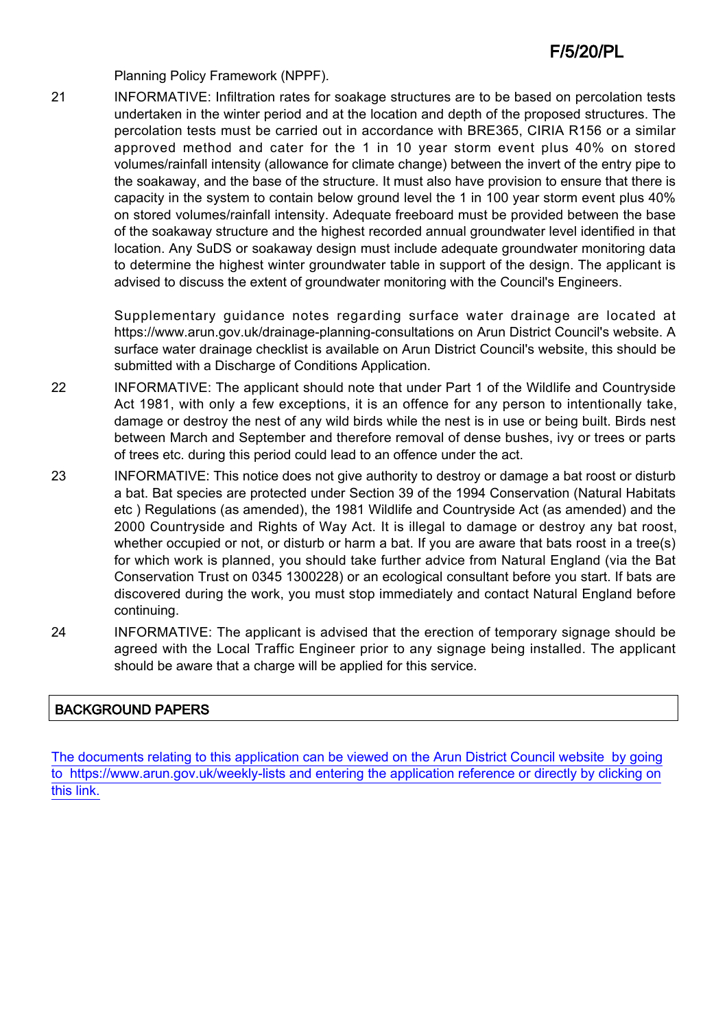Planning Policy Framework (NPPF).

21 INFORMATIVE: Infiltration rates for soakage structures are to be based on percolation tests undertaken in the winter period and at the location and depth of the proposed structures. The percolation tests must be carried out in accordance with BRE365, CIRIA R156 or a similar approved method and cater for the 1 in 10 year storm event plus 40% on stored volumes/rainfall intensity (allowance for climate change) between the invert of the entry pipe to the soakaway, and the base of the structure. It must also have provision to ensure that there is capacity in the system to contain below ground level the 1 in 100 year storm event plus 40% on stored volumes/rainfall intensity. Adequate freeboard must be provided between the base of the soakaway structure and the highest recorded annual groundwater level identified in that location. Any SuDS or soakaway design must include adequate groundwater monitoring data to determine the highest winter groundwater table in support of the design. The applicant is advised to discuss the extent of groundwater monitoring with the Council's Engineers.

> Supplementary guidance notes regarding surface water drainage are located at https://www.arun.gov.uk/drainage-planning-consultations on Arun District Council's website. A surface water drainage checklist is available on Arun District Council's website, this should be submitted with a Discharge of Conditions Application.

- 22 INFORMATIVE: The applicant should note that under Part 1 of the Wildlife and Countryside Act 1981, with only a few exceptions, it is an offence for any person to intentionally take, damage or destroy the nest of any wild birds while the nest is in use or being built. Birds nest between March and September and therefore removal of dense bushes, ivy or trees or parts of trees etc. during this period could lead to an offence under the act.
- 23 INFORMATIVE: This notice does not give authority to destroy or damage a bat roost or disturb a bat. Bat species are protected under Section 39 of the 1994 Conservation (Natural Habitats etc ) Regulations (as amended), the 1981 Wildlife and Countryside Act (as amended) and the 2000 Countryside and Rights of Way Act. It is illegal to damage or destroy any bat roost, whether occupied or not, or disturb or harm a bat. If you are aware that bats roost in a tree(s) for which work is planned, you should take further advice from Natural England (via the Bat Conservation Trust on 0345 1300228) or an ecological consultant before you start. If bats are discovered during the work, you must stop immediately and contact Natural England before continuing.
- 24 INFORMATIVE: The applicant is advised that the erection of temporary signage should be agreed with the Local Traffic Engineer prior to any signage being installed. The applicant should be aware that a charge will be applied for this service.

# BACKGROUND PAPERS

[The documents relating to this application can be viewed on the Arun District Council website by going](http://www1.arun.gov.uk/planrec/index.cfm?tpkey=eOcella&user_key_1=F/5/20/PL&keyscheme=planning) [to https://www.arun.gov.uk/weekly-lists and entering the application reference or directly by clicking on](http://www1.arun.gov.uk/planrec/index.cfm?tpkey=eOcella&user_key_1=F/5/20/PL&keyscheme=planning) [this link.](http://www1.arun.gov.uk/planrec/index.cfm?tpkey=eOcella&user_key_1=F/5/20/PL&keyscheme=planning)